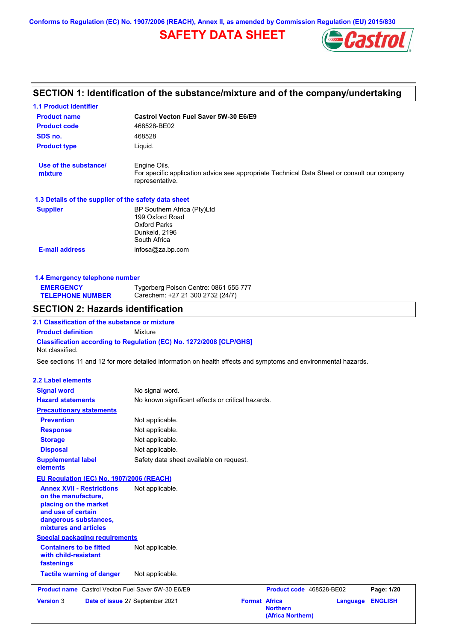**Conforms to Regulation (EC) No. 1907/2006 (REACH), Annex II, as amended by Commission Regulation (EU) 2015/830**

# **SAFETY DATA SHEET**



# **SECTION 1: Identification of the substance/mixture and of the company/undertaking**

| <b>1.1 Product identifier</b>                                                                                                                            |                                                                                                                |                                                         |                |
|----------------------------------------------------------------------------------------------------------------------------------------------------------|----------------------------------------------------------------------------------------------------------------|---------------------------------------------------------|----------------|
| <b>Product name</b>                                                                                                                                      | Castrol Vecton Fuel Saver 5W-30 E6/E9                                                                          |                                                         |                |
| <b>Product code</b>                                                                                                                                      | 468528-BE02                                                                                                    |                                                         |                |
| SDS no.                                                                                                                                                  | 468528                                                                                                         |                                                         |                |
| <b>Product type</b>                                                                                                                                      | Liquid.                                                                                                        |                                                         |                |
| Use of the substance/                                                                                                                                    | Engine Oils.                                                                                                   |                                                         |                |
| mixture                                                                                                                                                  | For specific application advice see appropriate Technical Data Sheet or consult our company<br>representative. |                                                         |                |
| 1.3 Details of the supplier of the safety data sheet                                                                                                     |                                                                                                                |                                                         |                |
| <b>Supplier</b>                                                                                                                                          | BP Southern Africa (Pty)Ltd<br>199 Oxford Road<br><b>Oxford Parks</b><br>Dunkeld, 2196<br>South Africa         |                                                         |                |
| <b>E-mail address</b>                                                                                                                                    | infosa@za.bp.com                                                                                               |                                                         |                |
|                                                                                                                                                          |                                                                                                                |                                                         |                |
| 1.4 Emergency telephone number                                                                                                                           |                                                                                                                |                                                         |                |
| <b>EMERGENCY</b><br><b>TELEPHONE NUMBER</b>                                                                                                              | Tygerberg Poison Centre: 0861 555 777<br>Carechem: +27 21 300 2732 (24/7)                                      |                                                         |                |
| <b>SECTION 2: Hazards identification</b>                                                                                                                 |                                                                                                                |                                                         |                |
| 2.1 Classification of the substance or mixture                                                                                                           |                                                                                                                |                                                         |                |
| <b>Product definition</b>                                                                                                                                | Mixture                                                                                                        |                                                         |                |
| Not classified.                                                                                                                                          | Classification according to Regulation (EC) No. 1272/2008 [CLP/GHS]                                            |                                                         |                |
|                                                                                                                                                          | See sections 11 and 12 for more detailed information on health effects and symptoms and environmental hazards. |                                                         |                |
|                                                                                                                                                          |                                                                                                                |                                                         |                |
| <b>2.2 Label elements</b>                                                                                                                                |                                                                                                                |                                                         |                |
| <b>Signal word</b>                                                                                                                                       | No signal word.                                                                                                |                                                         |                |
| <b>Hazard statements</b>                                                                                                                                 | No known significant effects or critical hazards.                                                              |                                                         |                |
| <b>Precautionary statements</b>                                                                                                                          |                                                                                                                |                                                         |                |
| <b>Prevention</b>                                                                                                                                        | Not applicable.                                                                                                |                                                         |                |
| <b>Response</b>                                                                                                                                          | Not applicable.                                                                                                |                                                         |                |
| <b>Storage</b>                                                                                                                                           | Not applicable.                                                                                                |                                                         |                |
| <b>Disposal</b>                                                                                                                                          | Not applicable.                                                                                                |                                                         |                |
| <b>Supplemental label</b><br>elements                                                                                                                    | Safety data sheet available on request.                                                                        |                                                         |                |
| EU Regulation (EC) No. 1907/2006 (REACH)                                                                                                                 |                                                                                                                |                                                         |                |
| <b>Annex XVII - Restrictions</b><br>on the manufacture.<br>placing on the market<br>and use of certain<br>dangerous substances,<br>mixtures and articles | Not applicable.                                                                                                |                                                         |                |
| <b>Special packaging requirements</b>                                                                                                                    |                                                                                                                |                                                         |                |
| <b>Containers to be fitted</b><br>with child-resistant<br>fastenings                                                                                     | Not applicable.                                                                                                |                                                         |                |
| <b>Tactile warning of danger</b>                                                                                                                         | Not applicable.                                                                                                |                                                         |                |
| <b>Product name</b> Castrol Vecton Fuel Saver 5W-30 E6/E9                                                                                                |                                                                                                                | Product code 468528-BE02                                | Page: 1/20     |
| <b>Version 3</b>                                                                                                                                         | <b>Format Africa</b><br>Date of issue 27 September 2021                                                        | <b>Language</b><br><b>Northern</b><br>(Africa Northern) | <b>ENGLISH</b> |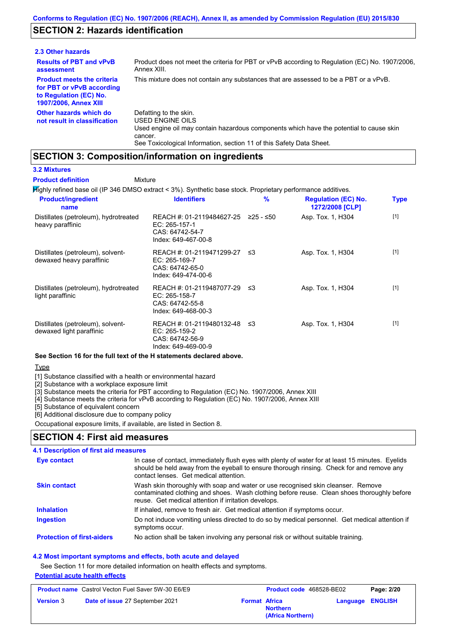# **SECTION 2: Hazards identification**

| 2.3 Other hazards                                                                                                        |                                                                                                                                                                                                                          |
|--------------------------------------------------------------------------------------------------------------------------|--------------------------------------------------------------------------------------------------------------------------------------------------------------------------------------------------------------------------|
| <b>Results of PBT and vPvB</b><br>assessment                                                                             | Product does not meet the criteria for PBT or vPvB according to Regulation (EC) No. 1907/2006.<br>Annex XIII.                                                                                                            |
| <b>Product meets the criteria</b><br>for PBT or vPvB according<br>to Regulation (EC) No.<br><b>1907/2006, Annex XIII</b> | This mixture does not contain any substances that are assessed to be a PBT or a vPvB.                                                                                                                                    |
| Other hazards which do<br>not result in classification                                                                   | Defatting to the skin.<br>USED ENGINE OILS<br>Used engine oil may contain hazardous components which have the potential to cause skin<br>cancer.<br>See Toxicological Information, section 11 of this Safety Data Sheet. |

## **SECTION 3: Composition/information on ingredients**

#### **3.2 Mixtures**

**Product definition**

Highly refined base oil (IP 346 DMSO extract < 3%). Synthetic base stock. Proprietary performance additives. Mixture

| <b>Product/ingredient</b><br>name                             | <b>Identifiers</b>                                                                             | $\%$ | <b>Regulation (EC) No.</b><br>1272/2008 [CLP] | <b>Type</b> |
|---------------------------------------------------------------|------------------------------------------------------------------------------------------------|------|-----------------------------------------------|-------------|
| Distillates (petroleum), hydrotreated<br>heavy paraffinic     | REACH #: 01-2119484627-25 ≥25 - ≤50<br>EC: 265-157-1<br>CAS: 64742-54-7<br>Index: 649-467-00-8 |      | Asp. Tox. 1, H304                             | $[1]$       |
| Distillates (petroleum), solvent-<br>dewaxed heavy paraffinic | REACH #: 01-2119471299-27 ≤3<br>EC: 265-169-7<br>CAS: 64742-65-0<br>Index: 649-474-00-6        |      | Asp. Tox. 1, H304                             | $[1]$       |
| Distillates (petroleum), hydrotreated<br>light paraffinic     | REACH #: 01-2119487077-29 ≤3<br>EC: 265-158-7<br>CAS: 64742-55-8<br>Index: 649-468-00-3        |      | Asp. Tox. 1, H304                             | $[1]$       |
| Distillates (petroleum), solvent-<br>dewaxed light paraffinic | REACH #: 01-2119480132-48 ≤3<br>EC: 265-159-2<br>CAS: 64742-56-9<br>Index: 649-469-00-9        |      | Asp. Tox. 1, H304                             | $[1]$       |

## **See Section 16 for the full text of the H statements declared above.**

Type

[1] Substance classified with a health or environmental hazard

[2] Substance with a workplace exposure limit

[3] Substance meets the criteria for PBT according to Regulation (EC) No. 1907/2006, Annex XIII

[4] Substance meets the criteria for vPvB according to Regulation (EC) No. 1907/2006, Annex XIII

[5] Substance of equivalent concern

[6] Additional disclosure due to company policy

Occupational exposure limits, if available, are listed in Section 8.

## **SECTION 4: First aid measures**

| <b>4.1 Description of first aid measures</b> |                                                                                                                                                                                                                                         |
|----------------------------------------------|-----------------------------------------------------------------------------------------------------------------------------------------------------------------------------------------------------------------------------------------|
| Eye contact                                  | In case of contact, immediately flush eyes with plenty of water for at least 15 minutes. Eyelids<br>should be held away from the eyeball to ensure thorough rinsing. Check for and remove any<br>contact lenses. Get medical attention. |
| <b>Skin contact</b>                          | Wash skin thoroughly with soap and water or use recognised skin cleanser. Remove<br>contaminated clothing and shoes. Wash clothing before reuse. Clean shoes thoroughly before<br>reuse. Get medical attention if irritation develops.  |
| <b>Inhalation</b>                            | If inhaled, remove to fresh air. Get medical attention if symptoms occur.                                                                                                                                                               |
| Ingestion                                    | Do not induce vomiting unless directed to do so by medical personnel. Get medical attention if<br>symptoms occur.                                                                                                                       |
| <b>Protection of first-aiders</b>            | No action shall be taken involving any personal risk or without suitable training.                                                                                                                                                      |

#### **4.2 Most important symptoms and effects, both acute and delayed**

See Section 11 for more detailed information on health effects and symptoms.

#### **Potential acute health effects**

| <b>Product name</b> Castrol Vecton Fuel Saver 5W-30 E6/E9 |                                        | <b>Product code</b> 468528-BE02 |                                      | Page: 2/20              |  |
|-----------------------------------------------------------|----------------------------------------|---------------------------------|--------------------------------------|-------------------------|--|
| <b>Version 3</b>                                          | <b>Date of issue 27 September 2021</b> | <b>Format Africa</b>            | <b>Northern</b><br>(Africa Northern) | <b>Language ENGLISH</b> |  |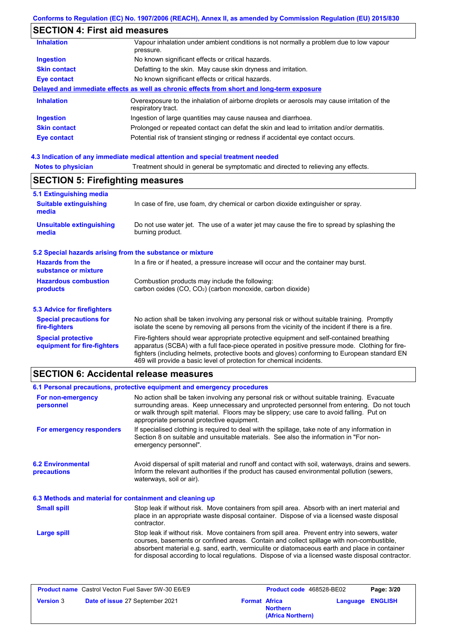# **SECTION 4: First aid measures**

| <b>Inhalation</b>   | Vapour inhalation under ambient conditions is not normally a problem due to low vapour<br>pressure.               |
|---------------------|-------------------------------------------------------------------------------------------------------------------|
| <b>Ingestion</b>    | No known significant effects or critical hazards.                                                                 |
| <b>Skin contact</b> | Defatting to the skin. May cause skin dryness and irritation.                                                     |
| Eye contact         | No known significant effects or critical hazards.                                                                 |
|                     | Delayed and immediate effects as well as chronic effects from short and long-term exposure                        |
| <b>Inhalation</b>   | Overexposure to the inhalation of airborne droplets or aerosols may cause irritation of the<br>respiratory tract. |
| <b>Ingestion</b>    | Ingestion of large quantities may cause nausea and diarrhoea.                                                     |
| <b>Skin contact</b> | Prolonged or repeated contact can defat the skin and lead to irritation and/or dermatitis.                        |
| Eye contact         | Potential risk of transient stinging or redness if accidental eye contact occurs.                                 |
|                     |                                                                                                                   |

# **4.3 Indication of any immediate medical attention and special treatment needed**

# **SECTION 5: Firefighting measures**

| 5.1 Extinguishing media                                   |                                                                                                                                                                                                                                                                                                                                                                   |  |  |
|-----------------------------------------------------------|-------------------------------------------------------------------------------------------------------------------------------------------------------------------------------------------------------------------------------------------------------------------------------------------------------------------------------------------------------------------|--|--|
| <b>Suitable extinguishing</b><br>media                    | In case of fire, use foam, dry chemical or carbon dioxide extinguisher or spray.                                                                                                                                                                                                                                                                                  |  |  |
| <b>Unsuitable extinguishing</b><br>media                  | Do not use water jet. The use of a water jet may cause the fire to spread by splashing the<br>burning product.                                                                                                                                                                                                                                                    |  |  |
| 5.2 Special hazards arising from the substance or mixture |                                                                                                                                                                                                                                                                                                                                                                   |  |  |
| <b>Hazards from the</b><br>substance or mixture           | In a fire or if heated, a pressure increase will occur and the container may burst.                                                                                                                                                                                                                                                                               |  |  |
| <b>Hazardous combustion</b>                               | Combustion products may include the following:                                                                                                                                                                                                                                                                                                                    |  |  |
| products                                                  | carbon oxides (CO, CO <sub>2</sub> ) (carbon monoxide, carbon dioxide)                                                                                                                                                                                                                                                                                            |  |  |
| 5.3 Advice for firefighters                               |                                                                                                                                                                                                                                                                                                                                                                   |  |  |
| <b>Special precautions for</b><br>fire-fighters           | No action shall be taken involving any personal risk or without suitable training. Promptly<br>isolate the scene by removing all persons from the vicinity of the incident if there is a fire.                                                                                                                                                                    |  |  |
| <b>Special protective</b><br>equipment for fire-fighters  | Fire-fighters should wear appropriate protective equipment and self-contained breathing<br>apparatus (SCBA) with a full face-piece operated in positive pressure mode. Clothing for fire-<br>fighters (including helmets, protective boots and gloves) conforming to European standard EN<br>469 will provide a basic level of protection for chemical incidents. |  |  |

# **SECTION 6: Accidental release measures**

| 6.1 Personal precautions, protective equipment and emergency procedures                                                                                                                                                                                                                                                                                                                        |  |  |
|------------------------------------------------------------------------------------------------------------------------------------------------------------------------------------------------------------------------------------------------------------------------------------------------------------------------------------------------------------------------------------------------|--|--|
|                                                                                                                                                                                                                                                                                                                                                                                                |  |  |
| No action shall be taken involving any personal risk or without suitable training. Evacuate<br>surrounding areas. Keep unnecessary and unprotected personnel from entering. Do not touch<br>or walk through spilt material. Floors may be slippery; use care to avoid falling. Put on<br>appropriate personal protective equipment.                                                            |  |  |
| If specialised clothing is required to deal with the spillage, take note of any information in<br>For emergency responders<br>Section 8 on suitable and unsuitable materials. See also the information in "For non-<br>emergency personnel".                                                                                                                                                   |  |  |
| Avoid dispersal of spilt material and runoff and contact with soil, waterways, drains and sewers.<br>Inform the relevant authorities if the product has caused environmental pollution (sewers,<br>waterways, soil or air).                                                                                                                                                                    |  |  |
| 6.3 Methods and material for containment and cleaning up                                                                                                                                                                                                                                                                                                                                       |  |  |
| Stop leak if without risk. Move containers from spill area. Absorb with an inert material and<br>place in an appropriate waste disposal container. Dispose of via a licensed waste disposal<br>contractor.                                                                                                                                                                                     |  |  |
| Stop leak if without risk. Move containers from spill area. Prevent entry into sewers, water<br>courses, basements or confined areas. Contain and collect spillage with non-combustible,<br>absorbent material e.g. sand, earth, vermiculite or diatomaceous earth and place in container<br>for disposal according to local regulations. Dispose of via a licensed waste disposal contractor. |  |  |
|                                                                                                                                                                                                                                                                                                                                                                                                |  |  |

|                  | <b>Product name</b> Castrol Vecton Fuel Saver 5W-30 E6/E9 |                      | <b>Product code</b> 468528-BE02      |                         | Page: 3/20 |
|------------------|-----------------------------------------------------------|----------------------|--------------------------------------|-------------------------|------------|
| <b>Version 3</b> | <b>Date of issue 27 September 2021</b>                    | <b>Format Africa</b> | <b>Northern</b><br>(Africa Northern) | <b>Language ENGLISH</b> |            |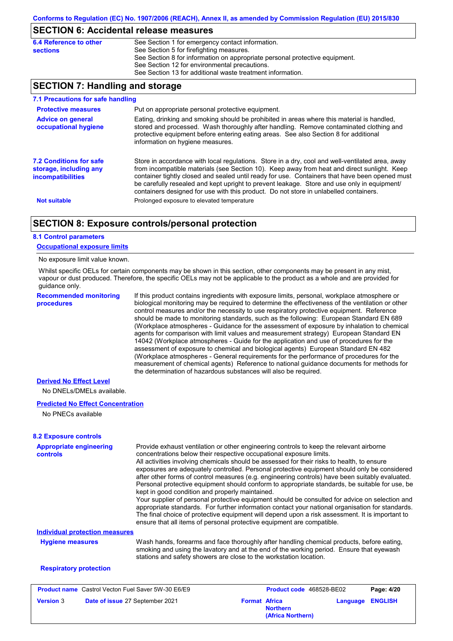## **SECTION 6: Accidental release measures**

| 6.4 Reference to other | See Section 1 for emergency contact information.                            |
|------------------------|-----------------------------------------------------------------------------|
|                        |                                                                             |
| sections               | See Section 5 for firefighting measures.                                    |
|                        | See Section 8 for information on appropriate personal protective equipment. |
|                        | See Section 12 for environmental precautions.                               |
|                        | See Section 13 for additional waste treatment information.                  |

# **SECTION 7: Handling and storage**

| 7.1 Precautions for safe handling                                                    |                                                                                                                                                                                                                                                                                                                                                                                                                                                                                          |
|--------------------------------------------------------------------------------------|------------------------------------------------------------------------------------------------------------------------------------------------------------------------------------------------------------------------------------------------------------------------------------------------------------------------------------------------------------------------------------------------------------------------------------------------------------------------------------------|
| <b>Protective measures</b>                                                           | Put on appropriate personal protective equipment.                                                                                                                                                                                                                                                                                                                                                                                                                                        |
| <b>Advice on general</b><br>occupational hygiene                                     | Eating, drinking and smoking should be prohibited in areas where this material is handled,<br>stored and processed. Wash thoroughly after handling. Remove contaminated clothing and<br>protective equipment before entering eating areas. See also Section 8 for additional<br>information on hygiene measures.                                                                                                                                                                         |
| <b>7.2 Conditions for safe</b><br>storage, including any<br><i>incompatibilities</i> | Store in accordance with local regulations. Store in a dry, cool and well-ventilated area, away<br>from incompatible materials (see Section 10). Keep away from heat and direct sunlight. Keep<br>container tightly closed and sealed until ready for use. Containers that have been opened must<br>be carefully resealed and kept upright to prevent leakage. Store and use only in equipment/<br>containers designed for use with this product. Do not store in unlabelled containers. |
| <b>Not suitable</b>                                                                  | Prolonged exposure to elevated temperature                                                                                                                                                                                                                                                                                                                                                                                                                                               |

## **SECTION 8: Exposure controls/personal protection**

#### **8.1 Control parameters**

#### **Occupational exposure limits**

#### No exposure limit value known.

Whilst specific OELs for certain components may be shown in this section, other components may be present in any mist, vapour or dust produced. Therefore, the specific OELs may not be applicable to the product as a whole and are provided for guidance only.

**Recommended monitoring procedures**

If this product contains ingredients with exposure limits, personal, workplace atmosphere or biological monitoring may be required to determine the effectiveness of the ventilation or other control measures and/or the necessity to use respiratory protective equipment. Reference should be made to monitoring standards, such as the following: European Standard EN 689 (Workplace atmospheres - Guidance for the assessment of exposure by inhalation to chemical agents for comparison with limit values and measurement strategy) European Standard EN 14042 (Workplace atmospheres - Guide for the application and use of procedures for the assessment of exposure to chemical and biological agents) European Standard EN 482 (Workplace atmospheres - General requirements for the performance of procedures for the measurement of chemical agents) Reference to national guidance documents for methods for the determination of hazardous substances will also be required.

#### **Derived No Effect Level**

No DNELs/DMELs available.

#### **Predicted No Effect Concentration**

No PNECs available

# **Appropriate engineering 8.2 Exposure controls**

| <b>Appropriate engineering</b><br>controls | Provide exhaust ventilation or other engineering controls to keep the relevant airborne<br>concentrations below their respective occupational exposure limits.<br>All activities involving chemicals should be assessed for their risks to health, to ensure<br>exposures are adequately controlled. Personal protective equipment should only be considered<br>after other forms of control measures (e.g. engineering controls) have been suitably evaluated.                                                                      |
|--------------------------------------------|--------------------------------------------------------------------------------------------------------------------------------------------------------------------------------------------------------------------------------------------------------------------------------------------------------------------------------------------------------------------------------------------------------------------------------------------------------------------------------------------------------------------------------------|
|                                            | Personal protective equipment should conform to appropriate standards, be suitable for use, be<br>kept in good condition and properly maintained.<br>Your supplier of personal protective equipment should be consulted for advice on selection and<br>appropriate standards. For further information contact your national organisation for standards.<br>The final choice of protective equipment will depend upon a risk assessment. It is important to<br>ensure that all items of personal protective equipment are compatible. |
| <b>Individual protection measures</b>      |                                                                                                                                                                                                                                                                                                                                                                                                                                                                                                                                      |
| <b>Hygiene measures</b>                    | Wash hands, forearms and face thoroughly after handling chemical products, before eating,<br>smoking and using the lavatory and at the end of the working period. Ensure that eyewash<br>stations and safety showers are close to the workstation location.                                                                                                                                                                                                                                                                          |
| <b>Respiratory protection</b>              |                                                                                                                                                                                                                                                                                                                                                                                                                                                                                                                                      |

| <b>Product name</b> Castrol Vecton Fuel Saver 5W-30 E6/E9 |                                 | <b>Product code</b> 468528-BE02 |                                      | Page: 4/20              |  |
|-----------------------------------------------------------|---------------------------------|---------------------------------|--------------------------------------|-------------------------|--|
| <b>Version 3</b>                                          | Date of issue 27 September 2021 | <b>Format Africa</b>            | <b>Northern</b><br>(Africa Northern) | <b>Language ENGLISH</b> |  |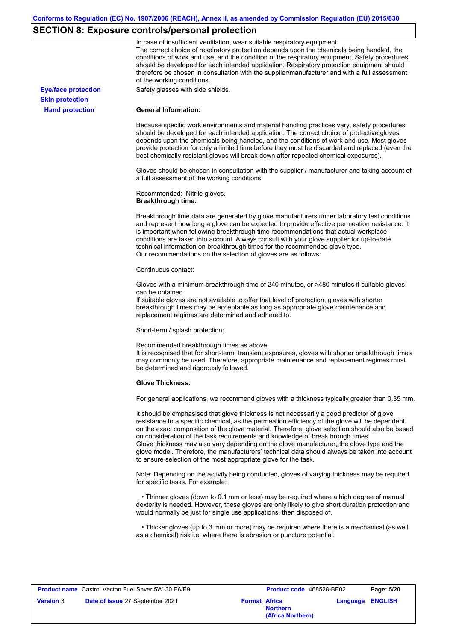# **SECTION 8: Exposure controls/personal protection**

|                            | In case of insufficient ventilation, wear suitable respiratory equipment.<br>The correct choice of respiratory protection depends upon the chemicals being handled, the<br>conditions of work and use, and the condition of the respiratory equipment. Safety procedures<br>should be developed for each intended application. Respiratory protection equipment should<br>therefore be chosen in consultation with the supplier/manufacturer and with a full assessment<br>of the working conditions.                                                                                                                                             |
|----------------------------|---------------------------------------------------------------------------------------------------------------------------------------------------------------------------------------------------------------------------------------------------------------------------------------------------------------------------------------------------------------------------------------------------------------------------------------------------------------------------------------------------------------------------------------------------------------------------------------------------------------------------------------------------|
| <b>Eye/face protection</b> | Safety glasses with side shields.                                                                                                                                                                                                                                                                                                                                                                                                                                                                                                                                                                                                                 |
| <b>Skin protection</b>     |                                                                                                                                                                                                                                                                                                                                                                                                                                                                                                                                                                                                                                                   |
| <b>Hand protection</b>     | <b>General Information:</b>                                                                                                                                                                                                                                                                                                                                                                                                                                                                                                                                                                                                                       |
|                            | Because specific work environments and material handling practices vary, safety procedures<br>should be developed for each intended application. The correct choice of protective gloves<br>depends upon the chemicals being handled, and the conditions of work and use. Most gloves<br>provide protection for only a limited time before they must be discarded and replaced (even the<br>best chemically resistant gloves will break down after repeated chemical exposures).                                                                                                                                                                  |
|                            | Gloves should be chosen in consultation with the supplier / manufacturer and taking account of<br>a full assessment of the working conditions.                                                                                                                                                                                                                                                                                                                                                                                                                                                                                                    |
|                            | Recommended: Nitrile gloves.<br><b>Breakthrough time:</b>                                                                                                                                                                                                                                                                                                                                                                                                                                                                                                                                                                                         |
|                            | Breakthrough time data are generated by glove manufacturers under laboratory test conditions<br>and represent how long a glove can be expected to provide effective permeation resistance. It<br>is important when following breakthrough time recommendations that actual workplace<br>conditions are taken into account. Always consult with your glove supplier for up-to-date<br>technical information on breakthrough times for the recommended glove type.<br>Our recommendations on the selection of gloves are as follows:                                                                                                                |
|                            | Continuous contact:                                                                                                                                                                                                                                                                                                                                                                                                                                                                                                                                                                                                                               |
|                            | Gloves with a minimum breakthrough time of 240 minutes, or >480 minutes if suitable gloves<br>can be obtained.<br>If suitable gloves are not available to offer that level of protection, gloves with shorter<br>breakthrough times may be acceptable as long as appropriate glove maintenance and<br>replacement regimes are determined and adhered to.                                                                                                                                                                                                                                                                                          |
|                            | Short-term / splash protection:                                                                                                                                                                                                                                                                                                                                                                                                                                                                                                                                                                                                                   |
|                            | Recommended breakthrough times as above.<br>It is recognised that for short-term, transient exposures, gloves with shorter breakthrough times<br>may commonly be used. Therefore, appropriate maintenance and replacement regimes must<br>be determined and rigorously followed.                                                                                                                                                                                                                                                                                                                                                                  |
|                            | <b>Glove Thickness:</b>                                                                                                                                                                                                                                                                                                                                                                                                                                                                                                                                                                                                                           |
|                            | For general applications, we recommend gloves with a thickness typically greater than 0.35 mm.                                                                                                                                                                                                                                                                                                                                                                                                                                                                                                                                                    |
|                            | It should be emphasised that glove thickness is not necessarily a good predictor of glove<br>resistance to a specific chemical, as the permeation efficiency of the glove will be dependent<br>on the exact composition of the glove material. Therefore, glove selection should also be based<br>on consideration of the task requirements and knowledge of breakthrough times.<br>Glove thickness may also vary depending on the glove manufacturer, the glove type and the<br>glove model. Therefore, the manufacturers' technical data should always be taken into account<br>to ensure selection of the most appropriate glove for the task. |
|                            | Note: Depending on the activity being conducted, gloves of varying thickness may be required<br>for specific tasks. For example:                                                                                                                                                                                                                                                                                                                                                                                                                                                                                                                  |
|                            | • Thinner gloves (down to 0.1 mm or less) may be required where a high degree of manual<br>dexterity is needed. However, these gloves are only likely to give short duration protection and<br>would normally be just for single use applications, then disposed of.                                                                                                                                                                                                                                                                                                                                                                              |
|                            | • Thicker gloves (up to 3 mm or more) may be required where there is a mechanical (as well<br>as a chemical) risk i.e. where there is abrasion or puncture potential.                                                                                                                                                                                                                                                                                                                                                                                                                                                                             |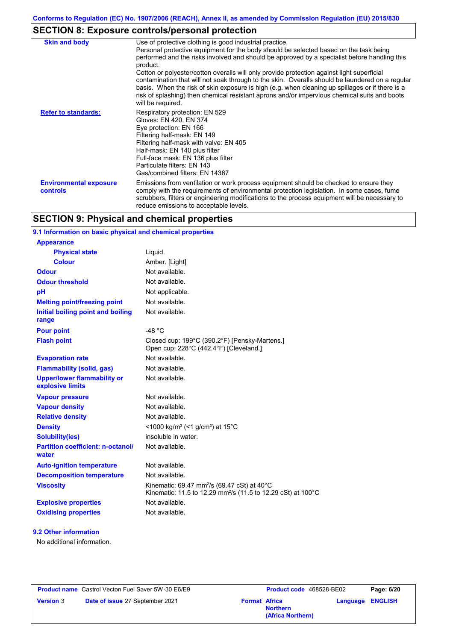# **SECTION 8: Exposure controls/personal protection**

| <b>Skin and body</b>                             | Use of protective clothing is good industrial practice.                                                                                                                                                                                                                                                                                                                                                               |
|--------------------------------------------------|-----------------------------------------------------------------------------------------------------------------------------------------------------------------------------------------------------------------------------------------------------------------------------------------------------------------------------------------------------------------------------------------------------------------------|
|                                                  | Personal protective equipment for the body should be selected based on the task being<br>performed and the risks involved and should be approved by a specialist before handling this<br>product.                                                                                                                                                                                                                     |
|                                                  | Cotton or polyester/cotton overalls will only provide protection against light superficial<br>contamination that will not soak through to the skin. Overalls should be laundered on a regular<br>basis. When the risk of skin exposure is high (e.g. when cleaning up spillages or if there is a<br>risk of splashing) then chemical resistant aprons and/or impervious chemical suits and boots<br>will be required. |
| <b>Refer to standards:</b>                       | Respiratory protection: EN 529<br>Gloves: EN 420, EN 374<br>Eye protection: EN 166<br>Filtering half-mask: EN 149<br>Filtering half-mask with valve: EN 405<br>Half-mask: EN 140 plus filter<br>Full-face mask: EN 136 plus filter<br>Particulate filters: EN 143<br>Gas/combined filters: EN 14387                                                                                                                   |
| <b>Environmental exposure</b><br><b>controls</b> | Emissions from ventilation or work process equipment should be checked to ensure they<br>comply with the requirements of environmental protection legislation. In some cases, fume<br>scrubbers, filters or engineering modifications to the process equipment will be necessary to<br>reduce emissions to acceptable levels.                                                                                         |

# **SECTION 9: Physical and chemical properties**

### **9.1 Information on basic physical and chemical properties**

| <u>Appearance</u>                                      |                                                                                                                                     |
|--------------------------------------------------------|-------------------------------------------------------------------------------------------------------------------------------------|
| <b>Physical state</b>                                  | Liquid.                                                                                                                             |
| <b>Colour</b>                                          | Amber. [Light]                                                                                                                      |
| <b>Odour</b>                                           | Not available.                                                                                                                      |
| <b>Odour threshold</b>                                 | Not available.                                                                                                                      |
| рH                                                     | Not applicable.                                                                                                                     |
| <b>Melting point/freezing point</b>                    | Not available.                                                                                                                      |
| Initial boiling point and boiling<br>range             | Not available.                                                                                                                      |
| <b>Pour point</b>                                      | -48 °C                                                                                                                              |
| <b>Flash point</b>                                     | Closed cup: 199°C (390.2°F) [Pensky-Martens.]<br>Open cup: 228°C (442.4°F) [Cleveland.]                                             |
| <b>Evaporation rate</b>                                | Not available.                                                                                                                      |
| <b>Flammability (solid, gas)</b>                       | Not available.                                                                                                                      |
| <b>Upper/lower flammability or</b><br>explosive limits | Not available.                                                                                                                      |
| <b>Vapour pressure</b>                                 | Not available.                                                                                                                      |
| <b>Vapour density</b>                                  | Not available.                                                                                                                      |
| <b>Relative density</b>                                | Not available.                                                                                                                      |
| <b>Density</b>                                         | <1000 kg/m <sup>3</sup> (<1 g/cm <sup>3</sup> ) at 15 <sup>°</sup> C                                                                |
| <b>Solubility(ies)</b>                                 | insoluble in water.                                                                                                                 |
| <b>Partition coefficient: n-octanol/</b><br>water      | Not available.                                                                                                                      |
| <b>Auto-ignition temperature</b>                       | Not available.                                                                                                                      |
| <b>Decomposition temperature</b>                       | Not available.                                                                                                                      |
| <b>Viscosity</b>                                       | Kinematic: 69.47 mm <sup>2</sup> /s (69.47 cSt) at 40°C<br>Kinematic: 11.5 to 12.29 mm <sup>2</sup> /s (11.5 to 12.29 cSt) at 100°C |
| <b>Explosive properties</b>                            | Not available.                                                                                                                      |
| <b>Oxidising properties</b>                            | Not available.                                                                                                                      |
|                                                        |                                                                                                                                     |

#### **9.2 Other information**

**Appearance**

No additional information.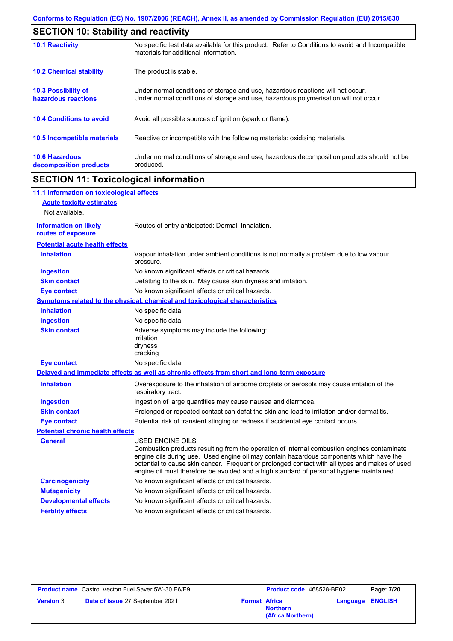| <b>SECTION 10: Stability and reactivity</b>       |                                                                                                                                                                         |  |
|---------------------------------------------------|-------------------------------------------------------------------------------------------------------------------------------------------------------------------------|--|
| <b>10.1 Reactivity</b>                            | No specific test data available for this product. Refer to Conditions to avoid and Incompatible<br>materials for additional information.                                |  |
| <b>10.2 Chemical stability</b>                    | The product is stable.                                                                                                                                                  |  |
| <b>10.3 Possibility of</b><br>hazardous reactions | Under normal conditions of storage and use, hazardous reactions will not occur.<br>Under normal conditions of storage and use, hazardous polymerisation will not occur. |  |
| <b>10.4 Conditions to avoid</b>                   | Avoid all possible sources of ignition (spark or flame).                                                                                                                |  |
| 10.5 Incompatible materials                       | Reactive or incompatible with the following materials: oxidising materials.                                                                                             |  |
| <b>10.6 Hazardous</b><br>decomposition products   | Under normal conditions of storage and use, hazardous decomposition products should not be<br>produced.                                                                 |  |

# **SECTION 11: Toxicological information**

 $\mathbf I$ 

| 11.1 Information on toxicological effects          |                                                                                                                                                                                                                                                                                                                                                                                                                 |
|----------------------------------------------------|-----------------------------------------------------------------------------------------------------------------------------------------------------------------------------------------------------------------------------------------------------------------------------------------------------------------------------------------------------------------------------------------------------------------|
| <b>Acute toxicity estimates</b>                    |                                                                                                                                                                                                                                                                                                                                                                                                                 |
| Not available.                                     |                                                                                                                                                                                                                                                                                                                                                                                                                 |
| <b>Information on likely</b><br>routes of exposure | Routes of entry anticipated: Dermal, Inhalation.                                                                                                                                                                                                                                                                                                                                                                |
| <b>Potential acute health effects</b>              |                                                                                                                                                                                                                                                                                                                                                                                                                 |
| <b>Inhalation</b>                                  | Vapour inhalation under ambient conditions is not normally a problem due to low vapour<br>pressure.                                                                                                                                                                                                                                                                                                             |
| <b>Ingestion</b>                                   | No known significant effects or critical hazards.                                                                                                                                                                                                                                                                                                                                                               |
| <b>Skin contact</b>                                | Defatting to the skin. May cause skin dryness and irritation.                                                                                                                                                                                                                                                                                                                                                   |
| <b>Eye contact</b>                                 | No known significant effects or critical hazards.                                                                                                                                                                                                                                                                                                                                                               |
|                                                    | <b>Symptoms related to the physical, chemical and toxicological characteristics</b>                                                                                                                                                                                                                                                                                                                             |
| <b>Inhalation</b>                                  | No specific data.                                                                                                                                                                                                                                                                                                                                                                                               |
| <b>Ingestion</b>                                   | No specific data.                                                                                                                                                                                                                                                                                                                                                                                               |
| <b>Skin contact</b>                                | Adverse symptoms may include the following:<br>irritation<br>dryness<br>cracking                                                                                                                                                                                                                                                                                                                                |
| <b>Eye contact</b>                                 | No specific data.                                                                                                                                                                                                                                                                                                                                                                                               |
|                                                    | Delayed and immediate effects as well as chronic effects from short and long-term exposure                                                                                                                                                                                                                                                                                                                      |
| <b>Inhalation</b>                                  | Overexposure to the inhalation of airborne droplets or aerosols may cause irritation of the<br>respiratory tract.                                                                                                                                                                                                                                                                                               |
| <b>Ingestion</b>                                   | Ingestion of large quantities may cause nausea and diarrhoea.                                                                                                                                                                                                                                                                                                                                                   |
| <b>Skin contact</b>                                | Prolonged or repeated contact can defat the skin and lead to irritation and/or dermatitis.                                                                                                                                                                                                                                                                                                                      |
| <b>Eye contact</b>                                 | Potential risk of transient stinging or redness if accidental eye contact occurs.                                                                                                                                                                                                                                                                                                                               |
| <b>Potential chronic health effects</b>            |                                                                                                                                                                                                                                                                                                                                                                                                                 |
| <b>General</b>                                     | <b>USED ENGINE OILS</b><br>Combustion products resulting from the operation of internal combustion engines contaminate<br>engine oils during use. Used engine oil may contain hazardous components which have the<br>potential to cause skin cancer. Frequent or prolonged contact with all types and makes of used<br>engine oil must therefore be avoided and a high standard of personal hygiene maintained. |
| <b>Carcinogenicity</b>                             | No known significant effects or critical hazards.                                                                                                                                                                                                                                                                                                                                                               |
| <b>Mutagenicity</b>                                | No known significant effects or critical hazards.                                                                                                                                                                                                                                                                                                                                                               |
| <b>Developmental effects</b>                       | No known significant effects or critical hazards.                                                                                                                                                                                                                                                                                                                                                               |
| <b>Fertility effects</b>                           | No known significant effects or critical hazards.                                                                                                                                                                                                                                                                                                                                                               |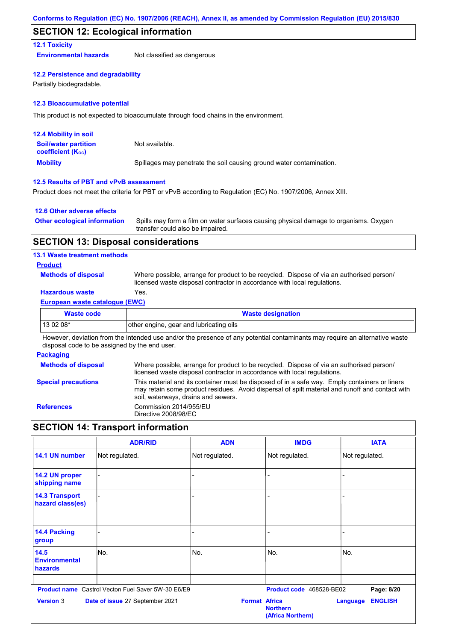## **SECTION 12: Ecological information**

#### **12.1 Toxicity**

**Environmental hazards** Not classified as dangerous

#### **12.2 Persistence and degradability**

Partially biodegradable.

#### **12.3 Bioaccumulative potential**

This product is not expected to bioaccumulate through food chains in the environment.

| <b>12.4 Mobility in soil</b>                            |                                                                      |
|---------------------------------------------------------|----------------------------------------------------------------------|
| <b>Soil/water partition</b><br><b>coefficient (Koc)</b> | Not available.                                                       |
| <b>Mobility</b>                                         | Spillages may penetrate the soil causing ground water contamination. |

#### **12.5 Results of PBT and vPvB assessment**

Product does not meet the criteria for PBT or vPvB according to Regulation (EC) No. 1907/2006, Annex XIII.

#### **12.6 Other adverse effects**

| <b>Other ecological information</b> | Spills may form a film on water surfaces causing physical damage to organisms. Oxygen |
|-------------------------------------|---------------------------------------------------------------------------------------|
|                                     | transfer could also be impaired.                                                      |

#### **SECTION 13: Disposal considerations**

#### **13.1 Waste treatment methods**

#### **Product**

**Methods of disposal**

Where possible, arrange for product to be recycled. Dispose of via an authorised person/ licensed waste disposal contractor in accordance with local regulations.

# **Hazardous waste** Yes.

#### **European waste catalogue (EWC)**

| Waste code                       | <b>Waste designation</b>                |  |
|----------------------------------|-----------------------------------------|--|
| $130208*$                        | other engine, gear and lubricating oils |  |
| $\sim$ $\sim$ $\sim$ $\sim$<br>. | .<br>.<br>.<br>$\cdots$                 |  |

However, deviation from the intended use and/or the presence of any potential contaminants may require an alternative waste disposal code to be assigned by the end user.

#### **Packaging**

| <b>Methods of disposal</b> | Where possible, arrange for product to be recycled. Dispose of via an authorised person/<br>licensed waste disposal contractor in accordance with local regulations.                                                                    |
|----------------------------|-----------------------------------------------------------------------------------------------------------------------------------------------------------------------------------------------------------------------------------------|
| <b>Special precautions</b> | This material and its container must be disposed of in a safe way. Empty containers or liners<br>may retain some product residues. Avoid dispersal of spilt material and runoff and contact with<br>soil, waterways, drains and sewers. |
| <b>References</b>          | Commission 2014/955/EU<br>Directive 2008/98/EC                                                                                                                                                                                          |

# **SECTION 14: Transport information**

|                                                | <b>ADR/RID</b>                                            | <b>ADN</b>           | <b>IMDG</b>                          | <b>IATA</b>                       |
|------------------------------------------------|-----------------------------------------------------------|----------------------|--------------------------------------|-----------------------------------|
| 14.1 UN number                                 | Not regulated.                                            | Not regulated.       | Not regulated.                       | Not regulated.                    |
| 14.2 UN proper<br>shipping name                |                                                           |                      |                                      |                                   |
| <b>14.3 Transport</b><br>hazard class(es)      |                                                           |                      |                                      |                                   |
| <b>14.4 Packing</b><br>group                   |                                                           |                      |                                      |                                   |
| 14.5<br><b>Environmental</b><br><b>hazards</b> | No.                                                       | No.                  | No.                                  | No.                               |
|                                                | <b>Product name</b> Castrol Vecton Fuel Saver 5W-30 E6/E9 |                      | Product code 468528-BE02             | Page: 8/20                        |
| <b>Version 3</b>                               | Date of issue 27 September 2021                           | <b>Format Africa</b> | <b>Northern</b><br>(Africa Northern) | <b>ENGLISH</b><br><b>Language</b> |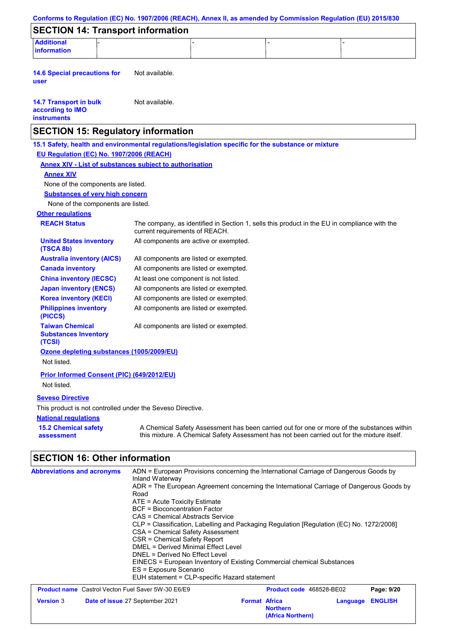| Conforms to Regulation (EC) No. 1907/2006 (REACH), Annex II, as amended by Commission Regulation (EU) 2015/830 |                                                                                                                                           |                                                                        |                                                                                                                                                                                           |  |
|----------------------------------------------------------------------------------------------------------------|-------------------------------------------------------------------------------------------------------------------------------------------|------------------------------------------------------------------------|-------------------------------------------------------------------------------------------------------------------------------------------------------------------------------------------|--|
| <b>SECTION 14: Transport information</b>                                                                       |                                                                                                                                           |                                                                        |                                                                                                                                                                                           |  |
| <b>Additional</b><br>information                                                                               |                                                                                                                                           |                                                                        |                                                                                                                                                                                           |  |
| <b>14.6 Special precautions for</b><br>user                                                                    | Not available.                                                                                                                            |                                                                        |                                                                                                                                                                                           |  |
| <b>14.7 Transport in bulk</b><br>according to IMO<br><b>instruments</b>                                        | Not available.                                                                                                                            |                                                                        |                                                                                                                                                                                           |  |
| <b>SECTION 15: Regulatory information</b>                                                                      |                                                                                                                                           |                                                                        |                                                                                                                                                                                           |  |
| 15.1 Safety, health and environmental regulations/legislation specific for the substance or mixture            |                                                                                                                                           |                                                                        |                                                                                                                                                                                           |  |
| EU Regulation (EC) No. 1907/2006 (REACH)                                                                       |                                                                                                                                           |                                                                        |                                                                                                                                                                                           |  |
| <b>Annex XIV - List of substances subject to authorisation</b>                                                 |                                                                                                                                           |                                                                        |                                                                                                                                                                                           |  |
| <b>Annex XIV</b>                                                                                               |                                                                                                                                           |                                                                        |                                                                                                                                                                                           |  |
| None of the components are listed.                                                                             |                                                                                                                                           |                                                                        |                                                                                                                                                                                           |  |
| <b>Substances of very high concern</b>                                                                         |                                                                                                                                           |                                                                        |                                                                                                                                                                                           |  |
| None of the components are listed.                                                                             |                                                                                                                                           |                                                                        |                                                                                                                                                                                           |  |
| <b>Other regulations</b>                                                                                       |                                                                                                                                           |                                                                        |                                                                                                                                                                                           |  |
| <b>REACH Status</b>                                                                                            | current requirements of REACH.                                                                                                            |                                                                        | The company, as identified in Section 1, sells this product in the EU in compliance with the                                                                                              |  |
| <b>United States inventory</b><br>(TSCA 8b)                                                                    | All components are active or exempted.                                                                                                    |                                                                        |                                                                                                                                                                                           |  |
| <b>Australia inventory (AICS)</b>                                                                              | All components are listed or exempted.                                                                                                    |                                                                        |                                                                                                                                                                                           |  |
| <b>Canada inventory</b>                                                                                        | All components are listed or exempted.                                                                                                    |                                                                        |                                                                                                                                                                                           |  |
| <b>China inventory (IECSC)</b>                                                                                 | At least one component is not listed.                                                                                                     |                                                                        |                                                                                                                                                                                           |  |
| <b>Japan inventory (ENCS)</b>                                                                                  | All components are listed or exempted.                                                                                                    |                                                                        |                                                                                                                                                                                           |  |
| <b>Korea inventory (KECI)</b>                                                                                  | All components are listed or exempted.                                                                                                    |                                                                        |                                                                                                                                                                                           |  |
| <b>Philippines inventory</b><br>(PICCS)                                                                        | All components are listed or exempted.                                                                                                    |                                                                        |                                                                                                                                                                                           |  |
| <b>Taiwan Chemical</b><br><b>Substances Inventory</b><br>(TCSI)                                                | All components are listed or exempted.                                                                                                    |                                                                        |                                                                                                                                                                                           |  |
| Ozone depleting substances (1005/2009/EU)<br>Not listed.                                                       |                                                                                                                                           |                                                                        |                                                                                                                                                                                           |  |
| Prior Informed Consent (PIC) (649/2012/EU)<br>Not listed.                                                      |                                                                                                                                           |                                                                        |                                                                                                                                                                                           |  |
|                                                                                                                |                                                                                                                                           |                                                                        |                                                                                                                                                                                           |  |
| <b>Seveso Directive</b>                                                                                        |                                                                                                                                           |                                                                        |                                                                                                                                                                                           |  |
| This product is not controlled under the Seveso Directive.                                                     |                                                                                                                                           |                                                                        |                                                                                                                                                                                           |  |
| <b>National regulations</b>                                                                                    |                                                                                                                                           |                                                                        |                                                                                                                                                                                           |  |
| <b>15.2 Chemical safety</b><br>assessment                                                                      |                                                                                                                                           |                                                                        | A Chemical Safety Assessment has been carried out for one or more of the substances within<br>this mixture. A Chemical Safety Assessment has not been carried out for the mixture itself. |  |
| <b>SECTION 16: Other information</b>                                                                           |                                                                                                                                           |                                                                        |                                                                                                                                                                                           |  |
| <b>Abbreviations and acronyms</b>                                                                              | Inland Waterway                                                                                                                           |                                                                        | ADN = European Provisions concerning the International Carriage of Dangerous Goods by<br>ADR = The European Agreement concerning the International Carriage of Dangerous Goods by         |  |
|                                                                                                                | Road<br>ATE = Acute Toxicity Estimate<br><b>BCF</b> = Bioconcentration Factor<br>CAS = Chemical Abstracts Service                         |                                                                        |                                                                                                                                                                                           |  |
|                                                                                                                | CSA = Chemical Safety Assessment<br>CSR = Chemical Safety Report<br>DMEL = Derived Minimal Effect Level<br>DNEL = Derived No Effect Level |                                                                        | CLP = Classification, Labelling and Packaging Regulation [Regulation (EC) No. 1272/2008]                                                                                                  |  |
|                                                                                                                | ES = Exposure Scenario<br>EUH statement = CLP-specific Hazard statement                                                                   | EINECS = European Inventory of Existing Commercial chemical Substances |                                                                                                                                                                                           |  |
| Product name Castrol Vecton Fuel Saver 5W-30 E6/E9                                                             |                                                                                                                                           |                                                                        | Product code 468528-BE02<br>Page: 9/20                                                                                                                                                    |  |
| <b>Version 3</b>                                                                                               | Date of issue 27 September 2021                                                                                                           | <b>Format Africa</b><br><b>Northern</b><br>(Africa Northern)           | <b>ENGLISH</b><br>Language                                                                                                                                                                |  |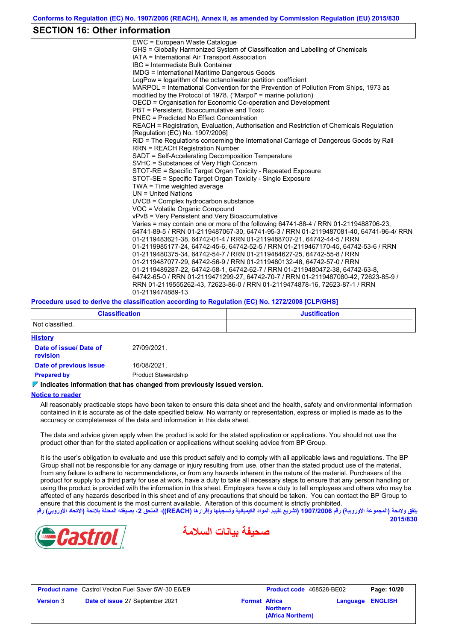# **SECTION 16: Other information**

| EWC = European Waste Catalogue                                                          |
|-----------------------------------------------------------------------------------------|
| GHS = Globally Harmonized System of Classification and Labelling of Chemicals           |
| IATA = International Air Transport Association                                          |
| IBC = Intermediate Bulk Container                                                       |
| <b>IMDG = International Maritime Dangerous Goods</b>                                    |
| LogPow = logarithm of the octanol/water partition coefficient                           |
| MARPOL = International Convention for the Prevention of Pollution From Ships, 1973 as   |
| modified by the Protocol of 1978. ("Marpol" = marine pollution)                         |
| OECD = Organisation for Economic Co-operation and Development                           |
| PBT = Persistent, Bioaccumulative and Toxic                                             |
| PNEC = Predicted No Effect Concentration                                                |
| REACH = Registration, Evaluation, Authorisation and Restriction of Chemicals Regulation |
| [Regulation (EC) No. 1907/2006]                                                         |
| RID = The Regulations concerning the International Carriage of Dangerous Goods by Rail  |
| <b>RRN = REACH Registration Number</b>                                                  |
| SADT = Self-Accelerating Decomposition Temperature                                      |
| SVHC = Substances of Very High Concern                                                  |
| STOT-RE = Specific Target Organ Toxicity - Repeated Exposure                            |
| STOT-SE = Specific Target Organ Toxicity - Single Exposure                              |
| TWA = Time weighted average                                                             |
| $UN = United Nations$                                                                   |
| UVCB = Complex hydrocarbon substance                                                    |
| VOC = Volatile Organic Compound                                                         |
| vPvB = Very Persistent and Very Bioaccumulative                                         |
| Varies = may contain one or more of the following 64741-88-4 / RRN 01-2119488706-23.    |
| 64741-89-5 / RRN 01-2119487067-30, 64741-95-3 / RRN 01-2119487081-40, 64741-96-4/ RRN   |
| 01-2119483621-38, 64742-01-4 / RRN 01-2119488707-21, 64742-44-5 / RRN                   |
| 01-2119985177-24, 64742-45-6, 64742-52-5 / RRN 01-2119467170-45, 64742-53-6 / RRN       |
| 01-2119480375-34, 64742-54-7 / RRN 01-2119484627-25, 64742-55-8 / RRN                   |
| 01-2119487077-29, 64742-56-9 / RRN 01-2119480132-48, 64742-57-0 / RRN                   |
|                                                                                         |
| 01-2119489287-22, 64742-58-1, 64742-62-7 / RRN 01-2119480472-38, 64742-63-8,            |
| 64742-65-0 / RRN 01-2119471299-27, 64742-70-7 / RRN 01-2119487080-42, 72623-85-9 /      |
| RRN 01-2119555262-43, 72623-86-0 / RRN 01-2119474878-16, 72623-87-1 / RRN               |
| 01-2119474889-13                                                                        |
|                                                                                         |

#### **Procedure used to derive the classification according to Regulation (EC) No. 1272/2008 [CLP/GHS]**

| <b>Classification</b>                     |                            | <b>Justification</b> |
|-------------------------------------------|----------------------------|----------------------|
| Not classified.                           |                            |                      |
| <b>History</b>                            |                            |                      |
| Date of issue/ Date of<br><b>revision</b> | 27/09/2021.                |                      |
| Date of previous issue                    | 16/08/2021.                |                      |
| <b>Prepared by</b>                        | <b>Product Stewardship</b> |                      |

#### **Indicates information that has changed from previously issued version.**

#### **Notice to reader**

All reasonably practicable steps have been taken to ensure this data sheet and the health, safety and environmental information contained in it is accurate as of the date specified below. No warranty or representation, express or implied is made as to the accuracy or completeness of the data and information in this data sheet.

The data and advice given apply when the product is sold for the stated application or applications. You should not use the product other than for the stated application or applications without seeking advice from BP Group.

It is the user's obligation to evaluate and use this product safely and to comply with all applicable laws and regulations. The BP Group shall not be responsible for any damage or injury resulting from use, other than the stated product use of the material, from any failure to adhere to recommendations, or from any hazards inherent in the nature of the material. Purchasers of the product for supply to a third party for use at work, have a duty to take all necessary steps to ensure that any person handling or using the product is provided with the information in this sheet. Employers have a duty to tell employees and others who may be affected of any hazards described in this sheet and of any precautions that should be taken. You can contact the BP Group to ensure that this document is the most current available. Alteration of this document is strictly prohibited. **یتفق ولائحة (المجموعة الأوروبیة) رقم 1907/2006 (تشریع تقییم المواد الكیمیائیة وتسجیلھا وإقرارھا (REACH((، الملحق ،2 بصیغتھ المعدلة بلائحة (الاتحاد الأوروبي) رقم**







**Product name** Castrol Vecton Fuel Saver 5W-30 E6/E9 **Product Code** 468528-BE02 **Page: 10/20 Version** 3 **Date of issue** 27 September 2021 **Format** Africa

**Language ENGLISH**

**Northern (Africa Northern)**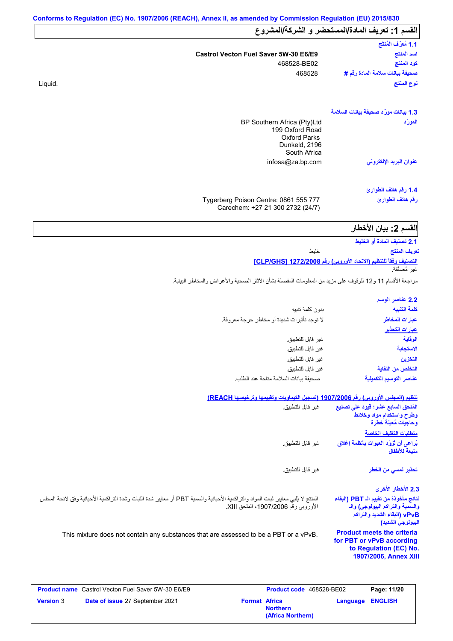|         |                                                                                                        | القسم 1: تعريف المادة/المستحضر و الشركة/المشروع |
|---------|--------------------------------------------------------------------------------------------------------|-------------------------------------------------|
|         |                                                                                                        | 1.1 مُعرَّف المُنتَج                            |
|         | Castrol Vecton Fuel Saver 5W-30 E6/E9                                                                  | اسم المنتج                                      |
|         | 468528-BE02                                                                                            | كود المنتج                                      |
|         | 468528                                                                                                 | صحيفة بيانات سلامة المادة رقم #                 |
| Liquid. |                                                                                                        | نوع المنتَج                                     |
|         |                                                                                                        | 1.3 بيانات مورّد صحيفة بيانات السلامة           |
|         | BP Southern Africa (Pty)Ltd<br>199 Oxford Road<br><b>Oxford Parks</b><br>Dunkeld, 2196<br>South Africa | المورّد                                         |
|         | infosa@za.bp.com                                                                                       | عنوان البريد الإلكترون <i>ى</i>                 |
|         |                                                                                                        | 1.4 رقم هاتف الطوارئ                            |
|         | Tygerberg Poison Centre: 0861 555 777<br>Carechem: +27 21 300 2732 (24/7)                              | رقم هاتف الطوارئ                                |

| 2.1 تصنيف المادة أو الخليط                                                                               |  |
|----------------------------------------------------------------------------------------------------------|--|
| تعريف المنتج<br>خلىط                                                                                     |  |
| التصنيف وفقاً للتنظيم (الاتحاد الأوروبي) رقم 1272/2008 [CLP/GHS]                                         |  |
| غبر مُصنَّفة.                                                                                            |  |
| مراجعة الأقسام 11 و12 للوقوف على مزيد من المعلومات المفصلة بشأن الأثار الصحية والأعراض والمخاطر البيئية. |  |

| 2.2 عناصر الوسم         |                                             |
|-------------------------|---------------------------------------------|
| كلمة التنبيه            | بدون كلمة تنبيه                             |
| عبارات المخاطر          | لا توجد تأثيرات شديدة أو مخاطر حرجة معروفة. |
| <u>عبارات التحذير</u>   |                                             |
| الوقاية                 | غير قابل للتطبيق.                           |
| الاستجابة               | غير قابل للتطبيق.                           |
| التخزين                 | غير قابل للتطبيق.                           |
| التخلص من النفاية       | غير قابل للتطبيق.                           |
| عناصر التوسيم التكميلية | صحيفة بيانات السلامة متاحة عند الطلب        |

#### **تنظیم (المجلس الأوروبي) رقم 1907/2006 (تسجیل الكیماویات وتقییمھا وترخیصھا REACH(**

| غير  قابل للتطبيق                                                                                                                                                          | المُلحق السابع عشر؛ قيود على تصنيع<br>وطرح واستخدام مواد وخلائط<br>وحاجيات مُعينة خطرة<br>متطلبات التغليف الخاصة               |
|----------------------------------------------------------------------------------------------------------------------------------------------------------------------------|--------------------------------------------------------------------------------------------------------------------------------|
| غير  قابل للتطبيق.                                                                                                                                                         | يُراعى أن تُزوَّد العبوات بأنظمة إغلاق<br>منبعة للأطفال                                                                        |
| غير  قابل للتطبيق.                                                                                                                                                         | تحذير لم <i>سى</i> من الخطر                                                                                                    |
|                                                                                                                                                                            | 2.3 الأخطار الأخرى                                                                                                             |
| المنتج لا يُلبي معايير ثبات المواد والتراكمية الأحيائية والسمية PBT أو معايير شدة الثبات وشدة التراكمية الأحيائية وفق لائحة المجلس<br>الأوروبي رقم 1907/2006، الملحق XIII. | نتائج مأخوذة من تقييم الـ PBT (البقاء<br>والسمية والتراكم البيولوجي) والـ<br>vPvB (البقاء الشديد والتراكم<br>البيولوجي الشديد) |
| This mixture does not contain any substances that are assessed to be a PBT or a vPvB.                                                                                      | <b>Product meets the criteria</b><br>for PBT or vPvB according<br>to Regulation (EC) No.<br>1907/2006, Annex XIII              |

|                  | <b>Product name</b> Castrol Vecton Fuel Saver 5W-30 E6/E9 |                      | <b>Product code</b> 468528-BE02      |                         | Page: 11/20 |
|------------------|-----------------------------------------------------------|----------------------|--------------------------------------|-------------------------|-------------|
| <b>Version 3</b> | <b>Date of issue 27 September 2021</b>                    | <b>Format Africa</b> | <b>Northern</b><br>(Africa Northern) | <b>Language ENGLISH</b> |             |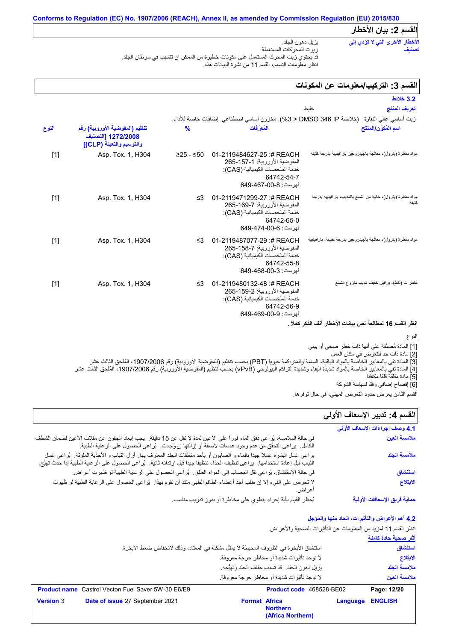# **Conforms to Regulation (EC) No. 1907/2006 (REACH), Annex II, as amended by Commission Regulation (EU) 2015/830 القسم :2 بیان الأخطار**

#### یزیل دھون الجلد. زیوت المحركات المستعملة قد یحتوي زیت المحرك المستعمل على مكونات خطیرة من الممكن ان تتسبب في سرطان الجلد. انظر معلومات التسمم، القسم 11 من نشرة البیانات ھذه. **الأخطار الأخرى التي لا تؤدي إلى تصنیف**

# القسم 3: التركيب/معلومات ع*ن* المكونات

| 3.2 خلائط                                                                                   |                                                                                                                                       |               |                                                                                  |       |
|---------------------------------------------------------------------------------------------|---------------------------------------------------------------------------------------------------------------------------------------|---------------|----------------------------------------------------------------------------------|-------|
| تعريف المنتج<br>خليط                                                                        |                                                                                                                                       |               |                                                                                  |       |
| زيت أساسي عالى النقاوة   (خلاصة DMSO 346 IP < 3%). مخزون أساسي اصطناعي. إضافات خاصة للأداء. |                                                                                                                                       |               |                                                                                  |       |
| اسم المُكوّن/المنتَج                                                                        | المُعرَفات                                                                                                                            | $\frac{9}{6}$ | تنظيم (المفوضية الأوروبية) رقم<br>1272/2008 [التصنيف<br>والتوسيم والتعبئة (CLP)] | النوع |
| مواد مقطرة (بترول)، معالجة بالهيدروجين بار افينيية بدرجة كثيفة                              | 01-2119484627-25:# REACH<br>المفوضية الأور وبية: 1-157-265<br>خدمة الملخصات الكيميائية (CAS):<br>64742-54-7<br>فهرست: 8-00-649-649    | $≥25 - ≤50$   | Asp. Tox. 1, H304                                                                | $[1]$ |
| مواد مقطرة (بترول)، خالية من الشمع بالمذيب، بار افينيية بدرجة<br>كثيفة                      | 01-2119471299-27:#REACH<br>المفوضية الأور وبية: 7-169-265<br>خدمة الملخصات الكيميائية (CAS):<br>64742-65-0<br>فهرست: 649-474-649      | ≤3            | Asp. Tox. 1, H304                                                                | $[1]$ |
| مواد مقطرة (بترول)، معالجة بالهيدر وجين بدرجة خفيفة، بار افينيية                            | 01-2119487077-29 :# REACH<br>المفوضية الأور وبية: 7-158-265<br>خدمة الملخصات الكيميائية (CAS):<br>64742-55-8<br>فهرست: 3-00-649-649   | $\leq$ 3      | Asp. Tox. 1, H304                                                                | $[1]$ |
| مقطر ات (نفط)، بر افین خفیف مذیب منز و ع الشمع                                              | 01-2119480132-48 :# REACH<br>المفوضية الأور وبية: 2-159-265<br>خدمة الملخصات الكيميائية (CAS):<br>64742-56-9<br>فهرست: 649-469-00-649 | ≤3            | Asp. Tox. 1, H304                                                                | $[1]$ |
| انظر القسم 16 لمطالعة نص بيانات الأخطار آنف الذكر كاملأ .                                   |                                                                                                                                       |               |                                                                                  |       |

## النوع

[1] المادة مُصنَّفة على أنھا ذات خطر صحي أو بیئي

[2] مادة ذات حد للتعرض في مكان العمل

[3] المادة تفي بالمعاییر الخاصة بالمواد الباقیة، السامة والمتراكمة حیویاً (PBT (بحسب تنظیم (المفوضیة الأوروبیة) رقم ،1907/2006 المُلحق الثالث عشر

[4] المادة تفي بالمعاییر الخاصة بالمواد شدیدة البقاء وشدیدة التراكم البیولوجي (vPvB (بحسب تنظیم (المفوضیة الأوروبیة) رقم ،1907/2006 المُلحق الثالث عشر

[5] مادة مقلقة قلقاً مكافِئا [6] إفصاح إضافي وفقًأ لسیاسة الشركة

القسم الثامن یعرض حدود التعرض المھني، في حال توفرھا.

# القسم **4:** تدبير الإسعاف الأول*ي*

| ړ کاناټ کې د ک<br>القسم الثامن يعرض حدود التعرض المهني، في حال توفر ها. |                                                                                                                                                                                                                                                              |
|-------------------------------------------------------------------------|--------------------------------------------------------------------------------------------------------------------------------------------------------------------------------------------------------------------------------------------------------------|
| القسم 4: تدبير الإسعاف الأولي                                           |                                                                                                                                                                                                                                                              |
| 4.1 وصف إجراءات الإسعاف الأوَّلي                                        |                                                                                                                                                                                                                                                              |
| ملامسة العين                                                            | في حالة الملامسة، يُراعى دفق الماء فوراً على الأعين لمدة لا تقل عن 15 دقيقة.  يجب إبعاد الجفون عن مقلات الأعين لضمان الشطف<br>الكامل.  يراعي التحقق من عدم وجود عدسات لاصقة أو إزالتها إن وُجدت.  يُراعي الحصول على الرعاية الطب                             |
| ملامسة الجلد                                                            | براعي غسل البشرة غسلا جيدا بالماء و الصابون أو بأحد منظفات الجلد المعترف بها ٍ لزل الثياب و الأحذية الملوثة ٍ يُراعي غسل<br>الثياب قبل إعادة استخدامها.  يراعي تنظيف الحذاء تنظيفا جيدا قبل ارتدائه ثانية.  يُراعي الحصول على الرعاية الطبية إذا حدث تهيُّج. |
| استنشاق                                                                 | في حالة الإستنشاق، يُراعى نقل المصاب إلى الهواء الطلق ِ يُراعى الحصول على الرعاية الطبية لو ظهرت أعراض ِ                                                                                                                                                     |
| الابتلاع                                                                | لا تحرض على القيء إلا إن طلب أحد أعضاء الطاقم الطبي منك أن تقوم بهذا.  يُراعى الحصول على الرعاية الطبية لو ظهرت<br>اعر اض.                                                                                                                                   |
| حماية فريق الإسعافات الأولية                                            | يُحظر القيام بأية إجراء ينطوي على مخاطرة أو بدون تدريب مناسب.                                                                                                                                                                                                |

# **4.2 أھم الأعراض والتأثیرات، الحاد منھا والمؤجل**

انظر القسم 11 لمزید من المعلومات عن التأثیرات الصحیة والأعراض.

|                  |                                                           |                                                                                           |          | آثار صحية حادة كامنة |
|------------------|-----------------------------------------------------------|-------------------------------------------------------------------------------------------|----------|----------------------|
|                  |                                                           | استتشاق الأبخر ة في الظروف المحيطة لا يمثِّل مشكلة في المعتاد، وذلك لانخفاض صغط الأبخر ة. |          | استنشاق              |
|                  |                                                           | لا توجد تأثيرات شديدة أو مخاطر حرجة معروفة.                                               |          | الابتلاع             |
|                  |                                                           | يزيل دهون الجلد. قد تسبب جفاف الجلد وتهيُّجه.                                             |          | ملامسة الحلد         |
|                  |                                                           | لا توجد تأثيرات شديدة أو مخاطر حرجة معروفة.                                               |          | ملامسة العبن         |
|                  | <b>Product name</b> Castrol Vecton Fuel Saver 5W-30 E6/E9 | Product code 468528-BE02                                                                  |          | Page: 12/20          |
| <b>Version 3</b> | Date of issue 27 September 2021                           | <b>Format Africa</b>                                                                      | Language | <b>ENGLISH</b>       |

|        | <b>duct name</b> Castrol Vecton Fuel Saver 5W-30 E6/E9 |                      | <b>Product code</b> 468528-BE02 |             | ۲a |
|--------|--------------------------------------------------------|----------------------|---------------------------------|-------------|----|
| sion 3 | <b>Date of issue 27 September 2021</b>                 | <b>Format Africa</b> | <b>Northern</b>                 | Language EN |    |
|        |                                                        |                      | (Africa Northern)               |             |    |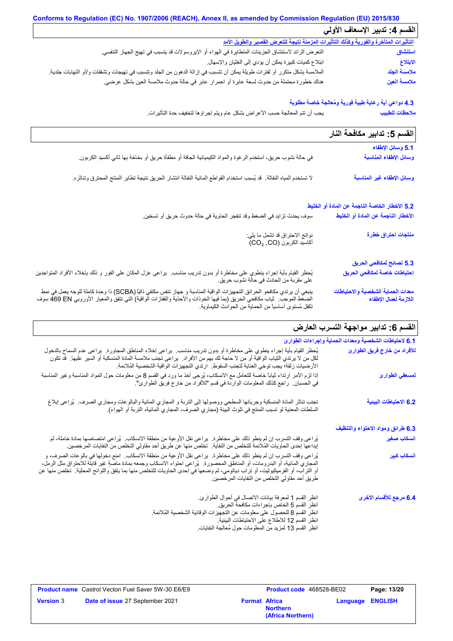| Conforms to Regulation (EC) No. 1907/2006 (REACH), Annex II, as amended by Commission Regulation (EU) 2015/830           |                               |  |
|--------------------------------------------------------------------------------------------------------------------------|-------------------------------|--|
|                                                                                                                          | القسم 4: تدبير الإسعاف الأولى |  |
| التأثيرات المتأخرة والفورية وكذلك التأثيرات المزمنة نتيجة للتعرض القصير والطويل الأمد                                    |                               |  |
| النعر ض الزائد لاستنشاق الجزيئات المتطايرة في الهواء أو الإيروسولات قد يتسبب في تهيج الجهاز التنفسي.                     | استنشاق                       |  |
| ابتلاع كميات كبيرة يمكن أن يؤدي إلى الغثيان والإسهال.                                                                    | الابتلاع                      |  |
| الملامسة بشكل متكرر أو لفترات طويلة يمكن أن تتسبب في إزالة الدهون من الجلد وتتسبب في تهيجات وتشققات و/أو التهابات جلدية. | ملامسة الجلد                  |  |
| هناك خطورة محتملة من حدوث لسعة عابرة أو احمرار عابر في حالة حدوث ملامسة العين بشكل عرضي.                                 | ملامسة العين                  |  |

# **4.3 دواعي أیة رعایة طبیة فوریة ومُعالجة خاصة مطلوبة**

یجب أن تتم المعالجة حسب الأعراض بشكل عام ویتم إجراؤھا لتخفیف حدة التأثیرات. **ملاحظات للطبیب**

|                                                                                                                                                                                                                                  | القسم 5: تدابير مكافحة النار                               |
|----------------------------------------------------------------------------------------------------------------------------------------------------------------------------------------------------------------------------------|------------------------------------------------------------|
|                                                                                                                                                                                                                                  | 5.1 وسائل الإطفاء                                          |
| في حالة نشوب حريق، استخدم الرغوة والمواد الكيميائية الجافة أو مطفأة حريق أو بخاخة بها ثاني أكسيد الكربون.                                                                                                                        | وسائل الإطفاء المناسبة                                     |
| لا تستخدم المياه النفاثة.  قد يُسبب استخدام القواطع المائية النفاثة انتشار الحريق نتيجة تطاير المنتج المحترق وتناثره.                                                                                                            | وسائل الإطفاء غير المناسبة                                 |
|                                                                                                                                                                                                                                  | 5.2 الأخطار الخاصة الناجمة عن المادة أو الخليط             |
| سوف يحدث تزايد في الضغط وقد تنفجر الحاوية في حالة حدوث حريق أو تسخين.                                                                                                                                                            | الأخطار الناجمة عن المادة أو الخليط                        |
| نواتج الاحتراق قد تشمل ما يلي:<br>أكاسيد الكربون (CO2, CO)                                                                                                                                                                       | منتجات احتراق خطرة                                         |
|                                                                                                                                                                                                                                  | 5.3 نصائح لمكافحي الحريق                                   |
| يُحظر القيام بأية إجراء ينطوي على مخاطرة أو بدون تدريب مناسب.  يراعي عزل المكان على الفور و ذلك بإخلاء الأفراد المتواجدين<br>على مقربة من الحادث في حالة نشوب حريق.                                                              | إحتياطات خاصة لمكافحي الحريق                               |
| ينبغي أن يرتدي مكافحو الحرائق التجهيزات الواقية المناسبة و جهاز تنفس مكتفي ذاتيًا (SCBA) ذا وحدة كاملة للوجه يعمل في نمط<br>الضغط الموجب   ثياب مكافحي الحريق (بما فيها الخوذات والأحذية والقفازات الواقية) التي تتفق والمعيار ا | معدات الحماية الشخصية والاحتياطات<br>اللازمة لعمال الإطفاء |

تكفل مُستوى أساسیاً من الحمایة من الحوادث الكیماویة.

<mark>القسم 6: تدابیر مواجهة التسرب العارض</mark>

| 6.1 لاحتياطات الشخصية ومعدات الحماية وإجراءات الطوارئ |                                                                                                                                                                                                                                                                                                                                                                                                                                    |
|-------------------------------------------------------|------------------------------------------------------------------------------------------------------------------------------------------------------------------------------------------------------------------------------------------------------------------------------------------------------------------------------------------------------------------------------------------------------------------------------------|
| للأفراد من خارج فريق الطوارئ                          | يُحظر القيام بأية إجراء ينطوي على مخاطرة أو بدون ندريب مناسب.  يراعي إخلاء المناطق المجاورة.  يراعي عدم السماح بالدخول<br>لكل من لا يرتدي الثياب الواقية أو من لا حاجة لك بهم من الأفراد.  يراعي نجنب ملامسة المادة المنسكبة أو السير عليها.  قد نكون<br>الأرضيات زلقة؛ يجب توخي العناية لتجنب السقوط.  ارتدي التجهيزات الواقية الشخصية المُلائمة.                                                                                 |
| لمسعفي الطوارئ                                        | إذا لزم الأمر ارتداء ثياباً خاصة للتعامل مع الانسكاب، يُرجى أخذ ما ورد في القسم 8 من معلومات حول المواد المناسبة وغير المناسبة<br>في الحسبان.   راجع كذلك المعلومات الواردة في قسم "للأفراد من خار ج فريق الطوارئ".                                                                                                                                                                                                                |
| 6.2 الاحتياطات البينية                                | تجنب تناثر المادة المنسكبة وجريانها السطحي ووصولها إلى التربة و المجاري المائية والبالوعات ومجاري الصرف.  يُراعى إبلاغ<br>السلطات المعنية لو تسبب المنتج في تلوث البيئة (مجاري الصرف، المجاري المائية، التربة أو الهواء).                                                                                                                                                                                                          |
| 6.3 طرائق ومواد الاحتواء والتنظيف                     |                                                                                                                                                                                                                                                                                                                                                                                                                                    |
| أنسكاب صغير                                           | يُراعى وقف التسرب إن لم ينطو ذلك على مخاطرة.  يراعى نقل الأوعية من منطقة الانسكاب.  يُراعى امتصاصها بمادة خاملة، ثم<br>إيداعها إحدى الحاويات المُلائمة للتخلص من النفاية.   تخلص منها عن طريق أحد مقاولي التخلص من النفايات المر خصين                                                                                                                                                                                              |
| ا <mark>نسكاب كبير</mark>                             | يُراعي وقف التسرب إن لم ينطو ذلك على مخاطرة.  يراعي نقل الأوعية من منطقة الانسكاب.  امنع دخولها في بالوعات الصرف، و<br>المعباري المائية، أو البدرومات، أو المناطق المعصورة.  يُراعي احتواء الانسكاب وجمعه بمادة ماصةٍ غير قابلة للاحتراق مثل الرمل،<br>أو التراب، أو الفرميكيوليت، أو تراب دياتومي، ثم وضعها في إحدى الحاويات للتخلص منها بما يتفق واللوائح المحلية. تخلص منها عن<br>طريق أحد مقاولي التخلص من النفايات المر خصين. |
| 6.4 مرجع للأقسام الأخرى                               | انظر القسم 1 لمعرفة بيانات الاتصال في أحوال الطوارئ.<br>انظر القسم 5 الخاص بإجراءات مكافحة الحريق.<br>انظر القسم 8 للحصول على معلومات عن التجهيزات الوقائية الشخصية المُلائمة.<br>انظر القسم 12 للاطلاع على الاحتياطات البيئية.<br>انظر القسم 13 لمزيد من المعلومات حول مُعالجة النفايات                                                                                                                                           |

|                  | <b>Product name</b> Castrol Vecton Fuel Saver 5W-30 E6/E9 |                      | <b>Product code</b> 468528-BE02      | Page: 13/20             |
|------------------|-----------------------------------------------------------|----------------------|--------------------------------------|-------------------------|
| <b>Version 3</b> | Date of issue 27 September 2021                           | <b>Format Africa</b> | <b>Northern</b><br>(Africa Northern) | <b>Language ENGLISH</b> |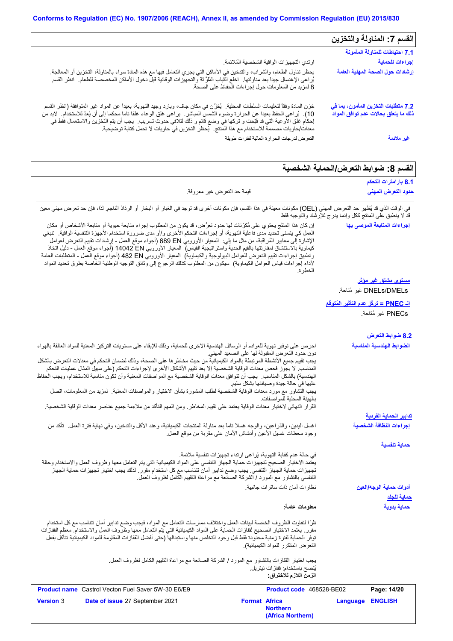| ارتدي التجهيزات الواقية الشخصية المُلائمة.                                                                                                                                                                                                                                                                                                                                        |
|-----------------------------------------------------------------------------------------------------------------------------------------------------------------------------------------------------------------------------------------------------------------------------------------------------------------------------------------------------------------------------------|
| بِحظر تناول الطعام، والشراب، والتدخين في الأماكن التي يجري التعامل فيها مع هذه المادة سواء بالمناولة، التخزين أو المعالجة<br>يُراعى الإغتسال جيداً بعد مناولتها ِ اخلع النَّياب المُلوَّثة والتجهيزات الوقائية قبلٌ دخول الأماكن المخصصة للطعام انظر القسم<br>8 لمزيد من المعلومات حول إجراءات الحفاظ على الصحة.                                                                  |
| خزن المادة وفقاً لتعليمات السلطات المحلية. ۗ يُغزِّن في مكان جاف، وبارد وجيد التهوية، بعيدا عن المواد غير المتوافقة (انظر القسم<br>10). يُراعى الحفظ بعيدا عن الحرارة وضوء الشمس المباشر. يراعى غلق الوعاء غلقا ناما محكما إلى أن يُعدّ للاستخدام. لابد من<br>إحكام غلق الأوعية التي قد فُتِحت و تركها في وضع قائم و ذلك لتلافي حدوث تسريب.  يجب أن يتم التخزين والاستعمال فقط في |
| التعرض لدرجات الحرارة العالية لفترات طويلة                                                                                                                                                                                                                                                                                                                                        |
| معدات/حاويات مصممة للاستخدام مع هذا المنتج.  يُحظر التخزين في حاويات لا تحمل كتابة توضيحية.                                                                                                                                                                                                                                                                                       |

# **القسم :8 ضوابط التعرض/الحمایة الشخصیة**

|                                                                                                                                                                                                                                                                                                                                                                                                                                                                                                                                                                                                                                                                                                                                                                                                                                                                                                  | 8.1 بارامترات التحكم                                   |
|--------------------------------------------------------------------------------------------------------------------------------------------------------------------------------------------------------------------------------------------------------------------------------------------------------------------------------------------------------------------------------------------------------------------------------------------------------------------------------------------------------------------------------------------------------------------------------------------------------------------------------------------------------------------------------------------------------------------------------------------------------------------------------------------------------------------------------------------------------------------------------------------------|--------------------------------------------------------|
| قيمة حد التعرض غير معروفة.                                                                                                                                                                                                                                                                                                                                                                                                                                                                                                                                                                                                                                                                                                                                                                                                                                                                       | <u>حدود التعرض المهني</u>                              |
| في الوقت الذي قد يُظهر حد التعرض المهني (OEL) مكونات معينة في هذا القسم، فإن مكونات أخرى قد توجد في الغبار أو البخار أو الرذاذ الناجم. لذا، فإن حد تعرض مهني معين<br>قد لا ينطبق على المنتج ككل وإنما يدرج للإرشاد والتوجيه فقط                                                                                                                                                                                                                                                                                                                                                                                                                                                                                                                                                                                                                                                                  |                                                        |
| إن كان هذا المنتَج بحتوي على مُكرِّنات لها حدود تعرُّض، قد يكون من المطلوب إجراء متابعة حيوية أو متابعة الأشخاص أو مكان<br>العمل كي يتسنى تحديد مدى فاعلية التهوية، أو إجراءات التحكم الأخرى و/أو مدى ضرورة استخدام الأجهزة التنفسية الواقية.  تنبغي<br>الإشارة إلى معايير الْمُراقَبة، من مثل ما يلي:  المعيار الأوروبي 680 EN (أجواء موقع العمل - إرشادات تقييم التعرض لعوامل<br>كيماوية بالاستنشاق لمقارنتها بالقيع الحدية واستراتيجية القياس)  المعيار الأوروبي 14042 DN (أجواء موقع المعل - دليل اتخاذ<br>وتطبيق إجراءات تقييم التعرض للعوامل البيولوجية والكيماوية)  المعيار الأوروبي 482 Bd (أجواء موقع العمل - المنطلبات العامة<br>لأداء إجراءات قياس العوامل الكيماوية)  سيكون من المطلوب كذلك الرجوع إلى وثانق التوجيه الوطنية الخاصة بطرق تحديد المواد<br>الخطر ة                                                                                                                     | إجراءات المتابعة الموصى بها                            |
|                                                                                                                                                                                                                                                                                                                                                                                                                                                                                                                                                                                                                                                                                                                                                                                                                                                                                                  | <u>مستوی مشتق غیر موثر</u>                             |
|                                                                                                                                                                                                                                                                                                                                                                                                                                                                                                                                                                                                                                                                                                                                                                                                                                                                                                  | DNELs/DMELs غير مُتاحة.                                |
|                                                                                                                                                                                                                                                                                                                                                                                                                                                                                                                                                                                                                                                                                                                                                                                                                                                                                                  | ا <mark>لـ PNEC = تركَّز عدم التأثير المُتوفَّع</mark> |
|                                                                                                                                                                                                                                                                                                                                                                                                                                                                                                                                                                                                                                                                                                                                                                                                                                                                                                  | PNECs غير مُتاحة.                                      |
|                                                                                                                                                                                                                                                                                                                                                                                                                                                                                                                                                                                                                                                                                                                                                                                                                                                                                                  | 8.2 ضوابط التعرض                                       |
| احرص على توفير تهوية للعوادم أو الوسائل الهندسية الاخرى للحماية، وذلك للإبقاء على مستويات التركيز المعنية للمواد العالقة بالهواء<br>دون حدود التعرض المقبولة لها على الصعيد المهنى<br>يجب تقييم جميع الأنشطة المرتبطة بالمواد الكيميائية من حيث مخاطر ها على الصحة، وذلك لضمان التحكم في معدلات التعرض بالشكل<br>المناسب. لا يجوز فحص معدات الوقاية الشخصية إلا بعد تقييم الأشكال الأخرى لإجراءات التحكم (على سبيل المثال عمليات التحكم<br>الهندسية) بالشكل المناسب.  يجب أن تتوافق معدات الوقاية الشخصية مع المواصفات المعنية وأن تكون مناسبة للاستخدام، ويجب الحفاظ<br>عليها في حالة جيدة وصيانتها بشكل سليم<br>يجب التشاور مع مورد معدات الوقاية الشخصية لطلب المشورة بشأن الاختيار والمواصفات المعنية   لمزيد من المعلومات، اتصل<br>بالهيئة المحلية للمواصفات<br>القرار النهائي لاختيار معدات الوقاية يعتمد على تقييم المخاطر ـ ومن المهم التأكد من ملاءمة جميع عناصر معدات الوقاية الشخصية. | الضوابط الهندسية المناسبة                              |
|                                                                                                                                                                                                                                                                                                                                                                                                                                                                                                                                                                                                                                                                                                                                                                                                                                                                                                  | <u>تدابير الحماية الفردية</u>                          |
| اغسل اليدين، والذراعين، والوجه غسلاً تاماً بعد مناولة المنتجات الكيميائية، وعند الأكل والتدخين، وفي نهاية فترة العمل تأكد من<br>وجود محطات غسلٍل الأعين وأدشاش الأمان على مقربة من موقع العمل.                                                                                                                                                                                                                                                                                                                                                                                                                                                                                                                                                                                                                                                                                                   | إجراءات النظافة الشخصية                                |
|                                                                                                                                                                                                                                                                                                                                                                                                                                                                                                                                                                                                                                                                                                                                                                                                                                                                                                  | حماية تنفسية                                           |
| في حالة عدم كفاية التهوية، يُراعى ارتداء تجهيزات تنفسية ملائمة.<br>يعتمد الاختيار الصحيح لتجهيزات حماية الجهاز التنفسي على المواد الكيميائية التي يتم التعامل معها وظروف العمل والاستخدام وحالة<br>تجهيزات حماية الجهاز التنفسي. يجب وضع تدابير أمان تتناسب مع كل استخدام مقرر . لذلك يجب اختيار تجهيزات حماية الجهاز<br>التنفسي بالتشاور مع المورد / الشركة الصانعة مع مراعاة التقييم الكامل لظروف العمل.<br>نظار ات أمان ذات ساتر ات جانبية.                                                                                                                                                                                                                                                                                                                                                                                                                                                   | أدوات حماية الوجه/العين                                |
| معلومات عامة:                                                                                                                                                                                                                                                                                                                                                                                                                                                                                                                                                                                                                                                                                                                                                                                                                                                                                    | <u>حماية للجلد</u><br>حماية يدوية                      |
| ظرًا لتفاوت الظروف الخاصة لبيئات العمل واختلاف ممارسات التعامل مع المواد، فيجب وضع تدابير أمان تتناسب مع كل استخدام<br>مقرر ـ يعتمد الاختيار الصحيح لقفازات الحماية على المواد الكيميائية التي يتم التعامل معها وظروف العمل والاستخدام معظم القفازات<br>توفر الحماية لفترة زمنية محدودة فقط قبل وجود التخلص منها واستبدالها (حتى أفضل القفازات المقاومة للمواد الكيميانية تتآكل بفعل<br>التعر ض المتكر ر للمواد الكيميائية).<br>يجب اختيار القفازات بالتشاور مع المورد / الشركة الصانعة مع مراعاة التقييم الكامل لظروف العمل.<br>يُنصح باستخدام: ففاز ات نيتريل.                                                                                                                                                                                                                                                                                                                                 |                                                        |
| الزمن اللازم للاختراق:                                                                                                                                                                                                                                                                                                                                                                                                                                                                                                                                                                                                                                                                                                                                                                                                                                                                           |                                                        |
| <b>Product name</b> Castrol Vecton Fuel Saver 5W-30 E6/E9<br>Product code 468528-BE02                                                                                                                                                                                                                                                                                                                                                                                                                                                                                                                                                                                                                                                                                                                                                                                                            | Page: 14/20                                            |
| Date of issue 27 September 2021<br><b>Version 3</b><br><b>Format Africa</b><br>Language<br><b>Northern</b><br>(Africa Northern)                                                                                                                                                                                                                                                                                                                                                                                                                                                                                                                                                                                                                                                                                                                                                                  | <b>ENGLISH</b>                                         |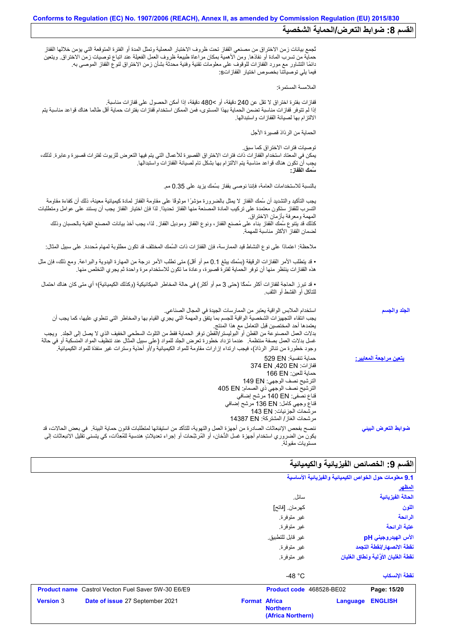|                                | ثجمع بيانات زمن الاختراق من مصنعي القفاز تحت ظروف الاختبار المعملية وتمثل المدة أو الفترة المتوقعة التي يؤمن خلالها القفاز<br>حماية من تسرب المادة أو نفاذها. ومن الأهمية بمكان مراعاة طبيعة ظروف العمل الفعيلة عند اتباع توصيات زمن الاختراق. ويتعين<br>دائمًا التشاور مع مورد القفازات للوقوف على معلومات تقنية وفنية محدثة بشأن زمن الاختراق لنوع القفاز الموصىي به.<br>فيما يلِّي توصياتنا بخصوص اختيار  القفاز اتS:                                                                                                                                                                                                                     |
|--------------------------------|----------------------------------------------------------------------------------------------------------------------------------------------------------------------------------------------------------------------------------------------------------------------------------------------------------------------------------------------------------------------------------------------------------------------------------------------------------------------------------------------------------------------------------------------------------------------------------------------------------------------------------------------|
|                                | الملامسة المستمرة:                                                                                                                                                                                                                                                                                                                                                                                                                                                                                                                                                                                                                           |
|                                | ففازات بفترة اختراق لا تقل عن 240 دقيقة، أو >480 دقيقة، إذا أمكن الحصول على قفازات مناسبة.<br>إذا لم تتوفر قفازات مناسبة تضمن الحماية بهذا المستوى، فمن الممكن استخدام قفازات بفترات حماية أقل طالما هناك قواعد مناسبة يتم<br>الالتزام بها لصيانة القفازات واستبدالها                                                                                                                                                                                                                                                                                                                                                                        |
|                                | الحماية من الرذاذ قصيرة الأجل                                                                                                                                                                                                                                                                                                                                                                                                                                                                                                                                                                                                                |
|                                | توصيات فتر ات الاختر اق كما سبق.<br>يمكن في المعتاد استخدام القفازات ذات فترات الاختراق القصيرة للأعمال التي يتم فيها التعرض للزيوت لفترات قصيرة وعابرة. لذلك،<br>يجب أن تكون هناك قواعد مناسبة يتم الالتزام بها بشكل تام لصيانة القفازات واستبدالها.<br>سمك الففاز :                                                                                                                                                                                                                                                                                                                                                                        |
|                                | بالنسبة للاستخدامات العامة، فإننا نوصـي بقفاز بسُمك يزيد على 0.35 مم.                                                                                                                                                                                                                                                                                                                                                                                                                                                                                                                                                                        |
|                                | يجب التأكيد والتشديد أن سُمك القفاز لا يمثل بالضرورة مؤشرًا موثوقًا على مقاومة القفاز لمادة كيميائية معينة، ذلك أن كفاءة مقاومة<br>التسرب للقفاز ستكون معتمدة على تركيب المادة المصنعة منها القفاز تحديدًا. لذا فإن اختيار القفاز يجب أن يستند على عوامل ومتطلبات<br>المهمة ومعرفة بأزمان الاختراق.<br>كذلك قد يتنوع سُمك القفاز بناء على مُصنع القفاز، ونوع القفاز وموديل القفاز لذا، يجب أخذ بيانات المصنع الفنية بالحسبان وذلك<br>لضمان القفاز الأكثر مناسبة للمهمة                                                                                                                                                                       |
|                                | ملاحظة: اعتمادًا على نوع النشاط قيد الممارسة، فإن القفازات ذات السُمك المختلف قد تكون مطلوبة لمهام مُحددة. على سبيل المثال:                                                                                                                                                                                                                                                                                                                                                                                                                                                                                                                  |
|                                | • قد يتطلب الأمر القفازات الرقيقة (بسُمك يبلغ 0.1 مم أو أقل) متى تطلب الأمر درجة من المهارة اليدوية والبراعة. ومع ذلك، فإن مثل<br>هذه القفازات ينتظر منها أن توفر الحماية لفترة قصيرة، وعادة ما تكون للاستخدام مرة واحدة ثم يجري التخلص منها.                                                                                                                                                                                                                                                                                                                                                                                                |
|                                | • قد تبرز الحاجة لقفازات أكثر سُمكًا (حتى 3 مم أو أكثر ) في حالة المخاطر الميكانيكية (وكذلك الكيميائية)؛ أي متى كان هناك احتمال<br>للتأكل أو القشط أو الثقب.                                                                                                                                                                                                                                                                                                                                                                                                                                                                                 |
| الجلد والجسم                   | استخدام الملابس الواقية يعتبر من الممارسات الجيدة في المجال الصناعي.<br>يجب انتقاء التجهيزات الشخصية الواقية للجسم بما يتفق والمهمة التي يجري القيام بها والمخاطر التي تنطوي عليها، كما يجب أن<br>يعتمدها أحد المختصين قبل التعامل مع هذا المنتج<br>بدلات العمل المصنوعة من القطن أو البوليستر/القطن توفر الحماية فقط من التلوث السطحي الخفيف الذي لا يصل إلى الجلد ٍ ويجب<br>غسل بدلات العمل بصفة منتظمة ٍ عندما تزداد خطورة تعرض الجلد للمواد (على سبيل المثال عند تنظيف المواد المنسكبة أو في حالة<br>وجود خطورة من تناثر الرذاذ)، فيجب ارتداء إزارات مقاومة للمواد الكيميائية و/أو أحذية وسترات غير منفذة للمواد الكيميائية <sub>.</sub> |
| <u>يتعين مراجعة المعايير :</u> | حماية تنفسية: 529 EN<br>قفازات: 374 EN ,420 EN<br>حماية للعين: 166 EN<br>الترشيح نصف الوجهي: 149 EN<br>الترشيح نصف الوجهي ذي الصمام: 405 EN<br>قناع نصفي: 140 EN مرشح إضافي<br>قذاع وجهي كامل: 136 EN مرشح إضافي<br>مرشحات الجزئيات: 143 EN<br>مرشحات الغاز / المشتركة: 14387 EN                                                                                                                                                                                                                                                                                                                                                             |
| ضوابط التعرض البينى            | ننصح بفحص الإنبعاثات الصادرة من أجهزة العمل والتهوية، للتأكد من استيفائها لمتطلبات قانون حماية البيئة في بعض الحالات، قد<br>يكون من الضروري استخدام أجهزة غسل الدُّخان، أو المُرشِّحات أو إجراء تعديلاتٍ هندسية للمُعِدَّات، كي يتسنى تقليل الانبعاثات إلى<br>مستويات مقبولة.                                                                                                                                                                                                                                                                                                                                                                |

# ا<mark>لقسم 9: الخصائص الفیزیائیة والكیمیائیة</mark>

|                  |                                                           |                      | 9.1 معلومات حول الخواص الكيميانية والفيزيانية الأساسية |          |                                      |
|------------------|-----------------------------------------------------------|----------------------|--------------------------------------------------------|----------|--------------------------------------|
|                  |                                                           |                      |                                                        |          | للمظهر                               |
|                  |                                                           |                      | سائل.                                                  |          | الحالة الفيزيانية                    |
|                  |                                                           |                      | كهر مان. [فاتح]                                        |          | اللون                                |
|                  |                                                           |                      | غير متوفرة.                                            |          | الرائحة                              |
|                  |                                                           |                      | غير متوفرة.                                            |          | عتبة الرائحة                         |
|                  |                                                           |                      | غير  قابل للتطبيق.                                     |          | الأس الهيدروجيني pH                  |
|                  |                                                           |                      | غير متوفرة                                             |          | نقطة الانصهار إنقطة التجمد           |
|                  |                                                           |                      | غير متوفرة.                                            |          | نقطة الغليان الأوَّلية ونطاق الغليان |
|                  |                                                           |                      | -48 $^{\circ}$ C                                       |          | نقطة الإنسكاب                        |
|                  | <b>Product name</b> Castrol Vecton Fuel Saver 5W-30 E6/E9 |                      | Product code 468528-BE02                               |          | Page: 15/20                          |
| <b>Version 3</b> | Date of issue 27 September 2021                           | <b>Format Africa</b> | <b>Northern</b><br>(Africa Northern)                   | Language | <b>ENGLISH</b>                       |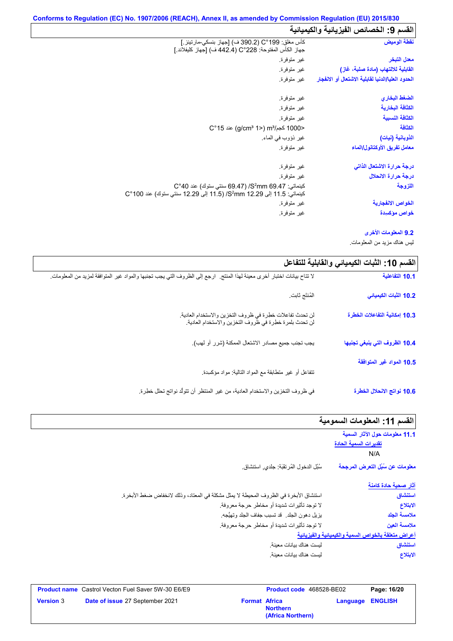| نقطة الوميض                                       | كأس مغلق: C°199 (390.2 ف) [جهاز بنسكي-مارتينز .]<br>جهاز الكأس المفتوحة: 228°C (442.4 ف) [جهاز كليفلاند ]                          |
|---------------------------------------------------|------------------------------------------------------------------------------------------------------------------------------------|
| معدل التبخر                                       | غير متوفرة.                                                                                                                        |
| القابلية للالتهاب (مادة صلبة، غاز)                | غير متوفرة.                                                                                                                        |
| الحدود العليا/الدنيا لقابلية الاشتعال أو الانفجار | غير متوفرة.                                                                                                                        |
| الضغط البخاري                                     | غير متوفرة.                                                                                                                        |
| الكثافة البخارية                                  | غير متوفرة.                                                                                                                        |
| الكثافة النسبية                                   | غير متوفرة.                                                                                                                        |
| الكثافة                                           | <1000 كجم/m3 (2°15) aic (q/cm3 1)                                                                                                  |
| الذوبانية (نيات)                                  | غير ذؤوب في الماء.                                                                                                                 |
| معامل تفريق الأوكتانول/الماء                      | غير متوفرة.                                                                                                                        |
| درجة حرارة الاشتعال الذاتى                        | غير متوفرة.                                                                                                                        |
| درجة حرارة الانحلال                               | غير متوفرة.                                                                                                                        |
| اللزوجة                                           | كينماتي: S <sup>2</sup> mm 69.47/ (69.47 سنتي ستوك) عند C°40<br>كينماتي: 11.5 إلى 29.29 S2mm/ (11.5 إلى 12.29 سنتي ستوك) عند 100°C |
| الخواص الانفجارية                                 | غير متوفرة.                                                                                                                        |
| خواص مؤكسدة                                       | غير متوفرة.                                                                                                                        |
|                                                   |                                                                                                                                    |

## **9.2 المعلومات الأخرى**

لیس ھناك مزید من المعلومات.

| القسم 10: الثبات الكيميائي والقابلية للتفاعل |                                                                                                                          |
|----------------------------------------------|--------------------------------------------------------------------------------------------------------------------------|
| 10.1 التفاعلية                               | لا تتاح بيانات اختبار أخرى معينة لهذا المنتج.  ارجع إلى الظروف التي يجب تجنبها والمواد غير المتوافقة لمزيد من المعلومات. |
| 10.2 الثبات الكيميائي                        | المُنتَج ثابت.                                                                                                           |
| 10.3 إمكانية التفاعلات الخطرة                | لن تحدث تفاعلات خطرة في ظروف التخزين والاستخدام العادية.<br>لن تحدث بلمرة خطرة في ظروف التخزين والاستخدام العادية.       |
| 10.4 الظروف التي ينبغي تجنبها                | يجب تجنب جميع مصادر الاشتعال الممكنة (شرر أو لهب).                                                                       |
| 10.5 المواد غير المتوافقة                    | نتفاعل أو غير منطابقة مع المواد النالية: مواد مؤكسدة                                                                     |
| 10.6 نواتج الانحلال الخطرة                   | في ظروف التخزين والاستخدام العادية، من غير المنتظر أن تتولَّد نواتج تحلل خطِرة.                                          |

# **القسم :11 المعلومات السمومیة**

| 11.1 معلومات حول الآثار السمية<br>تقديرات السمية الحادة |                                                                                         |
|---------------------------------------------------------|-----------------------------------------------------------------------------------------|
| N/A                                                     |                                                                                         |
| معلومات عن سُبُل التعرض المرجحة                         | سُبْل الدخول المُرتقَبَة: جلدي, استنشاق                                                 |
| <u>آثار صحية حادة كا</u> منة                            |                                                                                         |
| استنشاق                                                 | استتشاق الأبخرة في الظروف المحيطة لا يمثِّل مشكلة في المعتاد، وذلك لانخفاض ضغط الأبخرة. |
| الابتلاع                                                | لا توجد تأثيرات شديدة أو مخاطر حرجة معروفة.                                             |
| ملامسة الجلد                                            | يزيل دهون الجلد _ قد تسبب جفاف الجلد وتهيُّجه ِ                                         |
| ملامسة العين                                            | لا توجد تأثيرات شديدة أو مخاطر حرجة معروفة.                                             |
| أعراض متعلقة بالخواص السمية والكيميائية والفيزيانية     |                                                                                         |
| استنشاق                                                 | ليست هناك بيانات معينة.                                                                 |
| الابتلاع                                                | ليست هناك بيانات معينة.                                                                 |

| <b>Product name</b> Castrol Vecton Fuel Saver 5W-30 E6/E9  |                      | Product code 468528-BE02             |                  | Page: 16/20 |
|------------------------------------------------------------|----------------------|--------------------------------------|------------------|-------------|
| <b>Version 3</b><br><b>Date of issue 27 September 2021</b> | <b>Format Africa</b> | <b>Northern</b><br>(Africa Northern) | Language ENGLISH |             |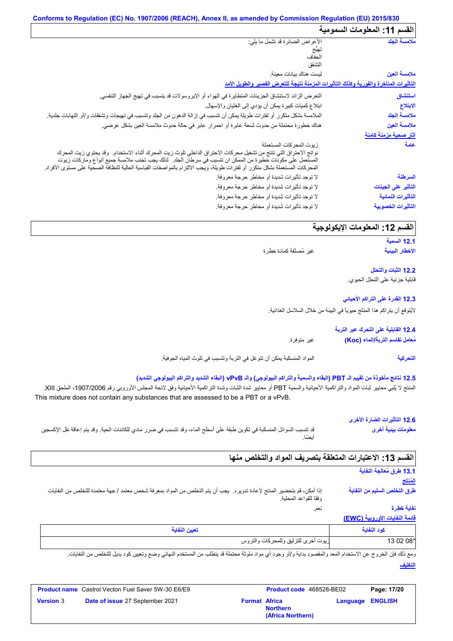# **Conforms to Regulation (EC) No. 1907/2006 (REACH), Annex II, as amended by Commission Regulation (EU) 2015/830**

| القسم 11: المعلومات السمومية |                                                                                                                                                                                                                                                                                                                                                                                        |
|------------------------------|----------------------------------------------------------------------------------------------------------------------------------------------------------------------------------------------------------------------------------------------------------------------------------------------------------------------------------------------------------------------------------------|
| ملامسة الجلد                 | الأعراض الضائرة قد تشمل ما يلي:<br>الحفاف<br>التشقق                                                                                                                                                                                                                                                                                                                                    |
| ملامسة العين                 | ليست هناك بيانات معينة.                                                                                                                                                                                                                                                                                                                                                                |
|                              | التأثيرات المتأخرة والفورية وكذلك التأثيرات المزمنة نتيجة للتعرض القصير والطويل الأمد                                                                                                                                                                                                                                                                                                  |
| استنشاق                      | التعرض الزائد لاستنشاق الجزيئات المتطايرة في الهواء أو الإيروسولات قد يتسبب في تهيج الجهاز التنفسي.                                                                                                                                                                                                                                                                                    |
| الابتلاع                     | ابنلاع كميات كبيرة يمكن أن يؤدي إلى الغثيان والإسهال.                                                                                                                                                                                                                                                                                                                                  |
| ملامسة الجلد                 | الملامسة بشكل منكرر أو لفترات طويلة يمكن أن تتسبب في إزالة الدهون من الجلد وتتسبب في تهيجات وتشققات و/أو التهابات جلدية <sub>.</sub>                                                                                                                                                                                                                                                   |
| ملامسة العين                 | هناك خطورة محتملة من حدوث لسعة عابرة أو احمرار عابر في حالة حدوث ملامسة العين بشكل عرضي.                                                                                                                                                                                                                                                                                               |
| <u>آثار صحية مزمنة كامنة</u> |                                                                                                                                                                                                                                                                                                                                                                                        |
| عامة                         | زيوت المحركات المستعملة<br>نواتج الاحتراق التي تنتج من تشغيل محركات الاحتراق الداخلي تلوث زيت المحرك أثناء الاستخدام.  وقد يحتوي زيت المحرك<br>المستعمل على مكونات خطيرة من الممكن ان تتسبب في سرطان الجلد.  لذلك يجب تجنب ملامسة جميع أنواع وماركات زيوت<br>المحركات المستعملة بشكل متكرر أو لفترات طويلة، ويجب الالتزام بالمواصفات القياسية العالية للنظافة الصحية على مستوى الأفراد |
| السرطنة                      | لا توجد تأثيرات شديدة أو مخاطر حرجة معروفة.                                                                                                                                                                                                                                                                                                                                            |
| التأثير على الجينات          | لا توجد تأثيرات شديدة أو مخاطر حرجة معروفة.                                                                                                                                                                                                                                                                                                                                            |
| التأثيرات النمائية           | لا توجد تأثيرات شديدة أو مخاطر حرجة معروفة.                                                                                                                                                                                                                                                                                                                                            |
| التأثيرات الخصوبية           | لا توجد تأثيرات شديدة أو مخاطر حرجة معروفة.                                                                                                                                                                                                                                                                                                                                            |

# **القسم :12 المعلومات الإیكولوجیة**

```
12.1 السمیة
الأخطار البیئیة
```
غیر مُصنَّفة كمادة خطِرة

**12.2 الثبات والتحلل** قابلیة جزئیة على التحلل الحیوي.

#### **12.3 القدرة على التراكم الأحیائي**

لایُتوقع أن یتراكم ھذا المنتَج حیویاً في البیئة من خلال السلاسل الغذائیة.

|             | 12.4 القابلية على التحرك عبر التربة |
|-------------|-------------------------------------|
| غير متوفرة. | مُعامل تقاسم التربة/الماء (Koc)     |

المواد المنسكبة یمكن أن تتوغل في التربة وتتسبب في تلوث المیاه الجوفیة. **التحركیة**

#### **12.5 نتائج مأخوذة من تقییم الـ PBT) البقاء والسمیة والتراكم البیولوجي) والـ vPvB) البقاء الشدید والتراكم البیولوجي الشدید)**

المنتج لا يُلبي معايير ثبات المواد والتراكمية الأحيائية والسمية PBT أو معايير شدة الثبات وشدة التراكمية الأحيائية وفق لائحة المجلس الأوروبي رقم 1907/2006، الملحق XIII. This mixture does not contain any substances that are assessed to be a PBT or a vPvB.

|                                                                                                                          | 12.6 التأثيرات الضارة الأخرى |
|--------------------------------------------------------------------------------------------------------------------------|------------------------------|
| قد تتسبب السوائل المنسكبة في تكوين طبقة على أسطح الماء، وقد تتسبب في ضرر مادي للكائنات الحية. وقد يتم إعاقة نقل الإكسجين | معلومات بينية أخرى           |
| أنضنًا                                                                                                                   |                              |

| القسم 13: الاعتبارات المتعلقة بتصريف المواد والتخلص منها                                                                                         |                                              |
|--------------------------------------------------------------------------------------------------------------------------------------------------|----------------------------------------------|
|                                                                                                                                                  | 13.1 طرق مُعالجة النفاية<br>المُنتَج         |
| إذا أمكن، قم بتحضير المنتج لإعادة تدويره. يجب أن يتم التخلص من المواد بمعرفة شخص معتمد / جهة معتمدة للتخلص من النفايات<br>وفقًا للقواعد المحلية. | طرق التخلص السليم من النفاية                 |
| نعم.                                                                                                                                             | نفاية خطرة<br>فائمة النفايات الأوروبية (EWC) |
| تعبين النفاية                                                                                                                                    | كود النفاية                                  |
| زيوت أخرى للتزليق وللمحركات والتروس                                                                                                              | 13 02 08*                                    |

**التغلیف** ومع ذلك فإن الخروج عن الاستخدام المعد والمقصود بداية و/أو وجود أي مواد ملوثة محتملة قد يتطلب من المستخدم النهائي وضع وتعيين كود بديل للتخلص من النفايات.

|                  | <b>Product name</b> Castrol Vecton Fuel Saver 5W-30 E6/E9 |                      | <b>Product code</b> 468528-BE02      |                         | Page: 17/20 |
|------------------|-----------------------------------------------------------|----------------------|--------------------------------------|-------------------------|-------------|
| <b>Version 3</b> | <b>Date of issue 27 September 2021</b>                    | <b>Format Africa</b> | <b>Northern</b><br>(Africa Northern) | <b>Language ENGLISH</b> |             |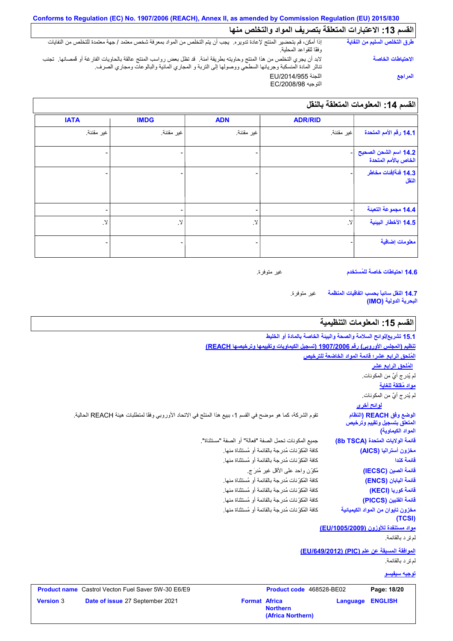# **Conforms to Regulation (EC) No. 1907/2006 (REACH), Annex II, as amended by Commission Regulation (EU) 2015/830** .<br>| القسم **13: الاعتبارات المتعلقة بتصریف المواد والتخلص منها**

| طرق التخلص السليم من النفاية | إذا أمكن، قم بتحضير المنتج لإعادة تدويره. يجب أن يتم التخلص من المواد بمعرفة شخص معتمد / جهة معتمدة للتخلص من النفايات<br>وفقًا للقواعد المحلية.                                                                                 |
|------------------------------|----------------------------------------------------------------------------------------------------------------------------------------------------------------------------------------------------------------------------------|
| الاحتياطات الخاصة            | لابد أن يجري التخلص من هذا المنتج وحاويته بطريقة آمنة.  قد تظل بعض رواسب المنتج عالقة بالحاويات الفارغة أو فمصانها.  تجنب<br>تناثر المادة المنسكبة وجريانها السطحي ووصولها إلى التربة و المجاري المائية والبالوعات ومجاري الصرف. |
| المراجع                      | اللجنة EU/2014/955<br>التوجيه EC/2008/98                                                                                                                                                                                         |

|                                               | <b>ADR/RID</b> | <b>ADN</b>               | <b>IMDG</b> | <b>IATA</b>       |
|-----------------------------------------------|----------------|--------------------------|-------------|-------------------|
| 14.1 رقم الأمم المتحدة                        | اغير مقننة     | غير مقننة.               | غير مقننة.  | غير مقننة.        |
| 14.2 اسم الشحن الصحيح<br>الخاص بالأمم المتحدة |                |                          |             |                   |
| 14.3 فَنَة/فَنات مخاطر<br>النقل               |                |                          |             |                   |
| 14.4 مجموعة التعبنة                           |                | $\overline{\phantom{0}}$ |             |                   |
| 14.5 الأخطار البينية                          | $\,$ $\,$ $\,$ | $\,$ $\,$ $\,$           | لا.         | $\cdot$ $\lambda$ |
| معلومات إضافية                                |                |                          |             |                   |

**14.6 احتیاطات خاصة للمُستخدم**

غیر متوفرة.

غیر متوفرة. **14.7 النقل سائباً بحسب اتفاقیات المنظمة البحریة الدولیة (IMO(**

# القسم 15: المعلومات التنظيمية

| <b>ENGLISH</b><br>Language                                       | <b>Format Africa</b><br><b>Northern</b><br>(Africa Northern)                                                 | Date of issue 27 September 2021                           | <b>Version 3</b> |
|------------------------------------------------------------------|--------------------------------------------------------------------------------------------------------------|-----------------------------------------------------------|------------------|
| Page: 18/20                                                      | Product code 468528-BE02                                                                                     | <b>Product name</b> Castrol Vecton Fuel Saver 5W-30 E6/E9 |                  |
| <u>توجيه سيفيسو</u>                                              |                                                                                                              |                                                           |                  |
| لم تر د بالقائمة.                                                |                                                                                                              |                                                           |                  |
| الموافقة المسبقة عن علم (PIC) (EU/649/2012)                      |                                                                                                              |                                                           |                  |
| لم تر د بالقائمة.                                                |                                                                                                              |                                                           |                  |
| <u>مواد مستنفدة للأوزون (EU/1005/2009)</u>                       |                                                                                                              |                                                           |                  |
| مخزون تايوان من المواد الكيميائية<br>(TCSI)                      | كافة المُكوِّ نات مُدرِ جة بالقائمة أو مُستثناة منها.                                                        |                                                           |                  |
| قائمة الفلبين (PICCS)                                            | كافة المُكوِّ نات مُدر جة بالقائمة أو مُستثناة منها.                                                         |                                                           |                  |
| قائمة كوريا (KECI)                                               | كافة المُكوِّ نات مُدرِجة بالقائمة أو مُستثناة منها.                                                         |                                                           |                  |
| فَائِمة الْيَابَان (ENCS)                                        | كافة المُكوِّ نات مُدر جة بالقائمة أو مُستثناة منها.                                                         |                                                           |                  |
| قائمة الصين (IECSC)                                              | مُكوِّن واحد على الأقل غير مُدرَ ج                                                                           |                                                           |                  |
| قائمة كندا                                                       | كافة المُكوِّ نات مُدرِ جة بالقائمة أو مُستثناة منها.                                                        |                                                           |                  |
| مخزون أستراليا (AICS)                                            | كافة المُكرِّ نات مُدر جة بالقائمة أو مُستثناة منها.                                                         |                                                           |                  |
| قائمة الولايات المتحدة (8b TSCA)                                 | جميع المكونات تحمل الصفة "فعالة" أو الصفة "مستثناة".                                                         |                                                           |                  |
| المتعلق بتسجيل وتقييم وترخيص<br>المواد الكيماوية)                |                                                                                                              |                                                           |                  |
| الوضع وفق REACH (النظام                                          | تقوم الشركة، كما هو موضح في القسم 1، ببيع هذا المنتَج في الاتحاد الأوروبي وفقًا لمتطلبات هيئة REACH الحالية. |                                                           |                  |
| <u>لوائح أخرى</u>                                                |                                                                                                              |                                                           |                  |
| لم يُدرِ ج أيِّ من المكونات.                                     |                                                                                                              |                                                           |                  |
| مواد مُقلقة للغاية                                               |                                                                                                              |                                                           |                  |
| لم يُدر ج أيٌّ من المكونات.                                      |                                                                                                              |                                                           |                  |
| المُلحق الرابع عشر                                               |                                                                                                              |                                                           |                  |
| المُلحق الرابع عشر؛ قائمة المواد الخاضعة للترخيص                 |                                                                                                              |                                                           |                  |
|                                                                  | تنظيم (المجلس الأوروبي) رقم 1907/2006 (تسجيل الكيماويات وتقييمها وترخيصها REACH)                             |                                                           |                  |
| 15.1 تشريع/لوائح السلامة والصحة والبيئة الخاصة بالمادة أو الخليط |                                                                                                              |                                                           |                  |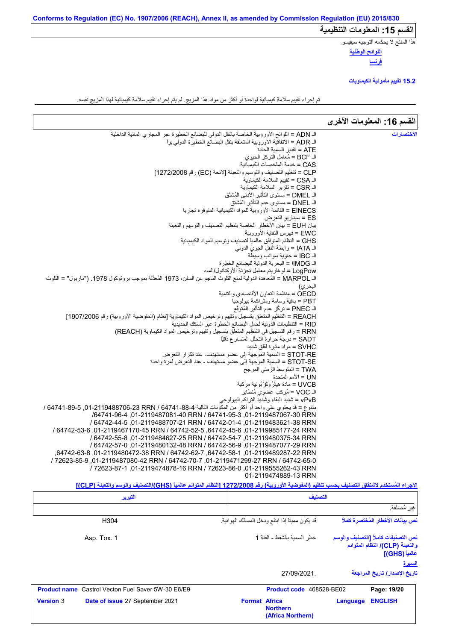ھذا المنتج لا یحكمھ التوجیھ سیفیسو.

**اللوائح الوطنیة فرنسا**

**15.2 تقییم مأمونیة الكیماویات**

تم إجراء تقییم سلامة كیمیائیة لواحدة أو أكثر من مواد ھذا المزیج. لم یتم إجراء تقییم سلامة كیمیائیة لھذا المزیج نفسھ.

|                                                                                                                                               | القسم 16: المعلومات الأخرى |
|-----------------------------------------------------------------------------------------------------------------------------------------------|----------------------------|
| الـ ADN = اللوائح الأوروبية الخاصة بالنقل الدولي للبضائع الخطيرة عبر المجاري المائية الداخلية                                                 | الاختصارات                 |
| الـ ADR = الاتفاقية الأوروبية المتعلقة بنقل البضائع الخطيرة الدولي براً                                                                       |                            |
| ATE = تقدير السمية الحادة                                                                                                                     |                            |
| الـ BCF = مُعامل التركز الحيوي                                                                                                                |                            |
| CAS = خدمة الملخصات الكيميائية                                                                                                                |                            |
| CLP = تنظيم التصنيف والتوسيم والتعبئة [لائحة (EC) رقم 1272/2008]                                                                              |                            |
| الـ CSA = تقييم السلامة الكيماوية<br>الـ CSR = تقرير السلامة الكيماوية                                                                        |                            |
| الـ DMEL = مستوى التأثير الأدنى المُشتَق                                                                                                      |                            |
| الـ DNEL = مستوى عدم التأثير المُشتق                                                                                                          |                            |
| EINECS = القائمة الأوروبية للمواد الكيميائية المتوفرة تجاريا                                                                                  |                            |
| ES = سينار يو التعرض                                                                                                                          |                            |
| بيان EUH = بيان الأخطار الخاصة بتنظيم التصنيف والتوسيم والتعبئة                                                                               |                            |
| EWC = فهرس النفاية الأوروبية                                                                                                                  |                            |
| GHS = النظام المتوافق عالمياً لتصنيف وتوسيم المواد الكيميائية                                                                                 |                            |
| الـ IATA = رابطة النقل الجوي الدولي                                                                                                           |                            |
| الـ IBC  = حاوية سوائب وسيطة                                                                                                                  |                            |
| الـ IMDG! = البحرية الدولية للبضائع الخطِرة                                                                                                   |                            |
| LogPow = لوغاريتم معامل تجزئة الأوكتانول/الماء                                                                                                |                            |
| اك MARPOL = المُعاهدة الدولية لمنع التلوث الناجم عن السفن، 1973 المُعدَّلة بموجب بروتوكول 1978. ("ماربول" = التلوث                            |                            |
| البحر ي)<br>OECD = منظمة التعاون الأقتصادي والتنمية                                                                                           |                            |
| PBT = باقية وسامة ومتراكمة بيولوجيا                                                                                                           |                            |
| الـ PNEC = تركُّز عدم التأثير المُتوقَّع                                                                                                      |                            |
| REACH = التنظيم المتعلق بتسجيل وتقييم وترخيص المواد الكيماوية [نظام (المفوضية الأوروبية) رقم 1907/2006]                                       |                            |
| RID = التنظيمات الدولية لحمل البضائع الخطرة عبر السكك الحديدية                                                                                |                            |
| RRN = رقم التسجيل في التنظيم المتعلِّق بتسجيل وتقييم وترخيص المواد الكيماوية (REACH)                                                          |                            |
| SADT = درجة حرارة التحلل المتسار ع ذاتيًا                                                                                                     |                            |
| SVHC = مواد مثيرة لقلق شديد                                                                                                                   |                            |
| STOT-RE = السمية الموجهة إلى عضو مستهدف- عند تكرار التعرض                                                                                     |                            |
| STOT-SE = السمية الموجهة إلى عضو مستهدف - عند التعرض لمرة واحدة                                                                               |                            |
| TWA = المتوسط الزمني المرجح                                                                                                                   |                            |
| UN = الأمم المتحدة                                                                                                                            |                            |
| UVCB = مادة هيئرُ وكَرْ بُونية مركبة                                                                                                          |                            |
| الـ VOC = مُركب عضوى مُتطاير<br>vPvB = شديد البقاء وشديد التراكم البيولوجي                                                                    |                            |
| متنوع = قد يحتوي على واحد أو أكثر من المكونات التالية 4-88-64741 / G4741-89-6, 01-2119488706 / 64741 /                                        |                            |
| /64741-96-4 01-2119487081-40 RRN / 64741-95-3 01-2119487067-30 RRN                                                                            |                            |
| .01-2119483621-38 RRN / 64742-01-4 .01-2119483621-38 RRN / 64742-01-4 .01                                                                     |                            |
| / 64742-45-6 ,01-2119985177-24 RRN (64742-52-5 ,64742-45-6 ,01-2119985177-24 RRN                                                              |                            |
| / 64742-55-8, 01-2119484627-25 RRN / 64742-54-7, 01-2119480375-34 RRN                                                                         |                            |
| / 64742-57-0 ,01-2119480132-48 RRN / 64742-56-9 ,01-2119487077-29 RRN                                                                         |                            |
| ,64742-63-8,2119489287-22 RRN (64742-62-7),64742-58-1,01-2119489287-22 RRN                                                                    |                            |
| / 72623-85-9.01-2119487080-42 RRN / 64742-70-7 .01-2119471299-27 RRN / 64742-65-0                                                             |                            |
| / 72623-87-1, 01-2119474878-16 RRN / 72623-86-0, 01-2119555262-43 RRN                                                                         |                            |
| 01-2119474889-13 RRN                                                                                                                          |                            |
| الإجراء المُستخدم لاشتقاق التصنيف بحسب تنظيم (المفوضية الأوروبية) رقم 1272/2008 [النظام المتوائم عالمياً (GHS) التصنيف والوسم والتعبنة (CLP)] |                            |

| التبرير                                                   | التصنيف                                                      |                                                                                                          |
|-----------------------------------------------------------|--------------------------------------------------------------|----------------------------------------------------------------------------------------------------------|
|                                                           |                                                              | غير مُصنَّفة.                                                                                            |
| H304                                                      | قد يكون مميتاً إذا ابتلع ودخل المسالك الهوائية.              | نص بيانات الأخطار المُختصرة كاملاً                                                                       |
| Asp. Tox. 1                                               | خطر السمبة بالشفط - الفئة 1                                  | نص التصنيفات كاملأ [التصنيف والوسم<br>والتعبنة (CLP)/ النظام المتوائم<br>عالمياً (GHS)]<br><u>السيرة</u> |
|                                                           | 27/09/2021.                                                  | تاريخ الإصدار / تاريخ المراجعة                                                                           |
| <b>Product name</b> Castrol Vecton Fuel Saver 5W-30 E6/E9 | Product code 468528-BE02                                     | Page: 19/20                                                                                              |
| Date of issue 27 September 2021<br><b>Version 3</b>       | <b>Format Africa</b><br><b>Northern</b><br>(Africa Northern) | <b>ENGLISH</b><br><b>Language</b>                                                                        |